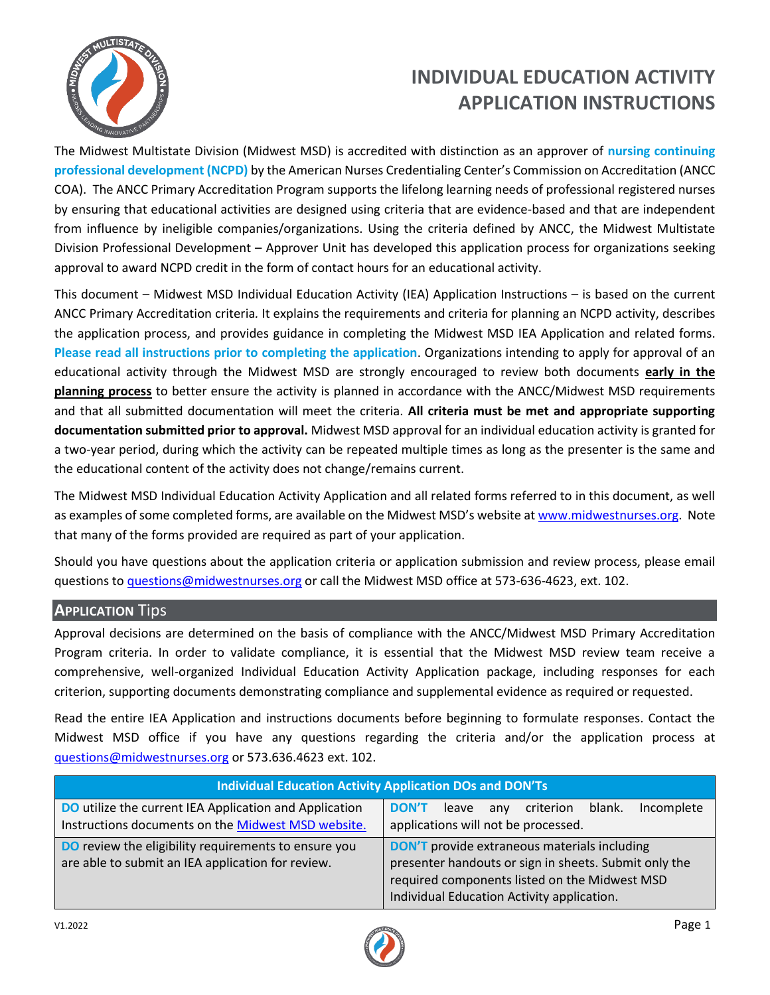

# **INDIVIDUAL EDUCATION ACTIVITY APPLICATION INSTRUCTIONS**

The Midwest Multistate Division (Midwest MSD) is accredited with distinction as an approver of **nursing continuing professional development (NCPD)** by the American Nurses Credentialing Center's Commission on Accreditation (ANCC COA). The ANCC Primary Accreditation Program supports the lifelong learning needs of professional registered nurses by ensuring that educational activities are designed using criteria that are evidence-based and that are independent from influence by ineligible companies/organizations. Using the criteria defined by ANCC, the Midwest Multistate Division Professional Development – Approver Unit has developed this application process for organizations seeking approval to award NCPD credit in the form of contact hours for an educational activity.

This document – Midwest MSD Individual Education Activity (IEA) Application Instructions – is based on the current ANCC Primary Accreditation criteria*.* It explains the requirements and criteria for planning an NCPD activity, describes the application process, and provides guidance in completing the Midwest MSD IEA Application and related forms. **Please read all instructions prior to completing the application**. Organizations intending to apply for approval of an educational activity through the Midwest MSD are strongly encouraged to review both documents **early in the planning process** to better ensure the activity is planned in accordance with the ANCC/Midwest MSD requirements and that all submitted documentation will meet the criteria. **All criteria must be met and appropriate supporting documentation submitted prior to approval.** Midwest MSD approval for an individual education activity is granted for a two-year period, during which the activity can be repeated multiple times as long as the presenter is the same and the educational content of the activity does not change/remains current.

The Midwest MSD Individual Education Activity Application and all related forms referred to in this document, as well as examples of some completed forms, are available on the Midwest MSD's website at [www.midwestnurses.org.](http://www.midwestnurses.org/) Note that many of the forms provided are required as part of your application.

Should you have questions about the application criteria or application submission and review process, please email questions to [questions@midwestnurses.org](mailto:questions@midwestnurses.org) or call the Midwest MSD office at 573-636-4623, ext. 102.

# **APPLICATION** Tips

Approval decisions are determined on the basis of compliance with the ANCC/Midwest MSD Primary Accreditation Program criteria. In order to validate compliance, it is essential that the Midwest MSD review team receive a comprehensive, well-organized Individual Education Activity Application package, including responses for each criterion, supporting documents demonstrating compliance and supplemental evidence as required or requested.

Read the entire IEA Application and instructions documents before beginning to formulate responses. Contact the Midwest MSD office if you have any questions regarding the criteria and/or the application process at [questions@midwestnurses.org](mailto:questions@midwestnurses.org) or 573.636.4623 ext. 102.

| <b>Individual Education Activity Application DOs and DON'Ts</b>                                                     |                                                                                                                                                                                                             |
|---------------------------------------------------------------------------------------------------------------------|-------------------------------------------------------------------------------------------------------------------------------------------------------------------------------------------------------------|
| <b>DO</b> utilize the current IEA Application and Application<br>Instructions documents on the Midwest MSD website. | Incomplete<br><b>DON'T</b><br>blank.<br>criterion<br>leave<br>any<br>applications will not be processed.                                                                                                    |
| <b>DO</b> review the eligibility requirements to ensure you<br>are able to submit an IEA application for review.    | <b>DON'T</b> provide extraneous materials including<br>presenter handouts or sign in sheets. Submit only the<br>required components listed on the Midwest MSD<br>Individual Education Activity application. |

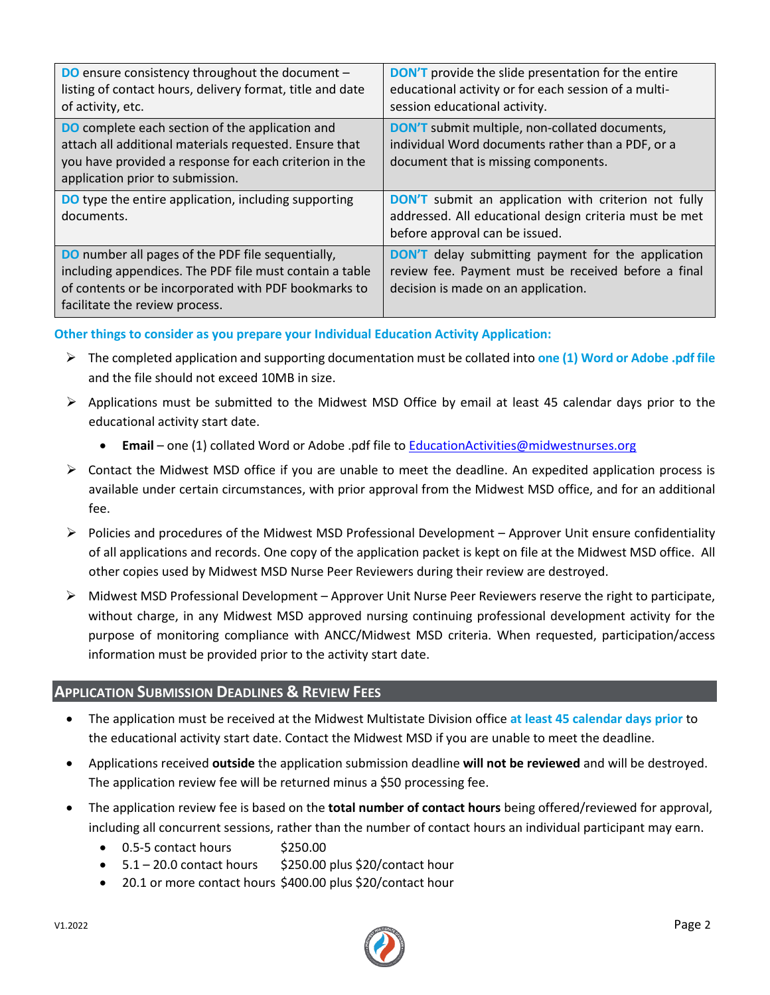| <b>DO</b> ensure consistency throughout the document -<br>listing of contact hours, delivery format, title and date<br>of activity, etc.                                                                       | <b>DON'T</b> provide the slide presentation for the entire<br>educational activity or for each session of a multi-<br>session educational activity.     |
|----------------------------------------------------------------------------------------------------------------------------------------------------------------------------------------------------------------|---------------------------------------------------------------------------------------------------------------------------------------------------------|
| <b>DO</b> complete each section of the application and<br>attach all additional materials requested. Ensure that<br>you have provided a response for each criterion in the<br>application prior to submission. | <b>DON'T</b> submit multiple, non-collated documents,<br>individual Word documents rather than a PDF, or a<br>document that is missing components.      |
| <b>DO</b> type the entire application, including supporting<br>documents.                                                                                                                                      | <b>DON'T</b> submit an application with criterion not fully<br>addressed. All educational design criteria must be met<br>before approval can be issued. |
| <b>DO</b> number all pages of the PDF file sequentially,<br>including appendices. The PDF file must contain a table<br>of contents or be incorporated with PDF bookmarks to<br>facilitate the review process.  | <b>DON'T</b> delay submitting payment for the application<br>review fee. Payment must be received before a final<br>decision is made on an application. |

**Other things to consider as you prepare your Individual Education Activity Application:**

- ➢ The completed application and supporting documentation must be collated into **one (1) Word or Adobe .pdf file** and the file should not exceed 10MB in size.
- $\triangleright$  Applications must be submitted to the Midwest MSD Office by email at least 45 calendar days prior to the educational activity start date.
	- **Email** one (1) collated Word or Adobe .pdf file to **EducationActivities@midwestnurses.org**
- $\triangleright$  Contact the Midwest MSD office if you are unable to meet the deadline. An expedited application process is available under certain circumstances, with prior approval from the Midwest MSD office, and for an additional fee.
- $\triangleright$  Policies and procedures of the Midwest MSD Professional Development Approver Unit ensure confidentiality of all applications and records. One copy of the application packet is kept on file at the Midwest MSD office. All other copies used by Midwest MSD Nurse Peer Reviewers during their review are destroyed.
- ➢ Midwest MSD Professional Development Approver Unit Nurse Peer Reviewers reserve the right to participate, without charge, in any Midwest MSD approved nursing continuing professional development activity for the purpose of monitoring compliance with ANCC/Midwest MSD criteria. When requested, participation/access information must be provided prior to the activity start date.

#### **APPLICATION SUBMISSION DEADLINES & REVIEW FEES**

- The application must be received at the Midwest Multistate Division office **at least 45 calendar days prior** to the educational activity start date. Contact the Midwest MSD if you are unable to meet the deadline.
- Applications received **outside** the application submission deadline **will not be reviewed** and will be destroyed. The application review fee will be returned minus a \$50 processing fee.
- The application review fee is based on the **total number of contact hours** being offered/reviewed for approval, including all concurrent sessions, rather than the number of contact hours an individual participant may earn.
	- $\bullet$  0.5-5 contact hours \$250.00
	- $\bullet$  5.1 20.0 contact hours \$250.00 plus \$20/contact hour
	- 20.1 or more contact hours \$400.00 plus \$20/contact hour

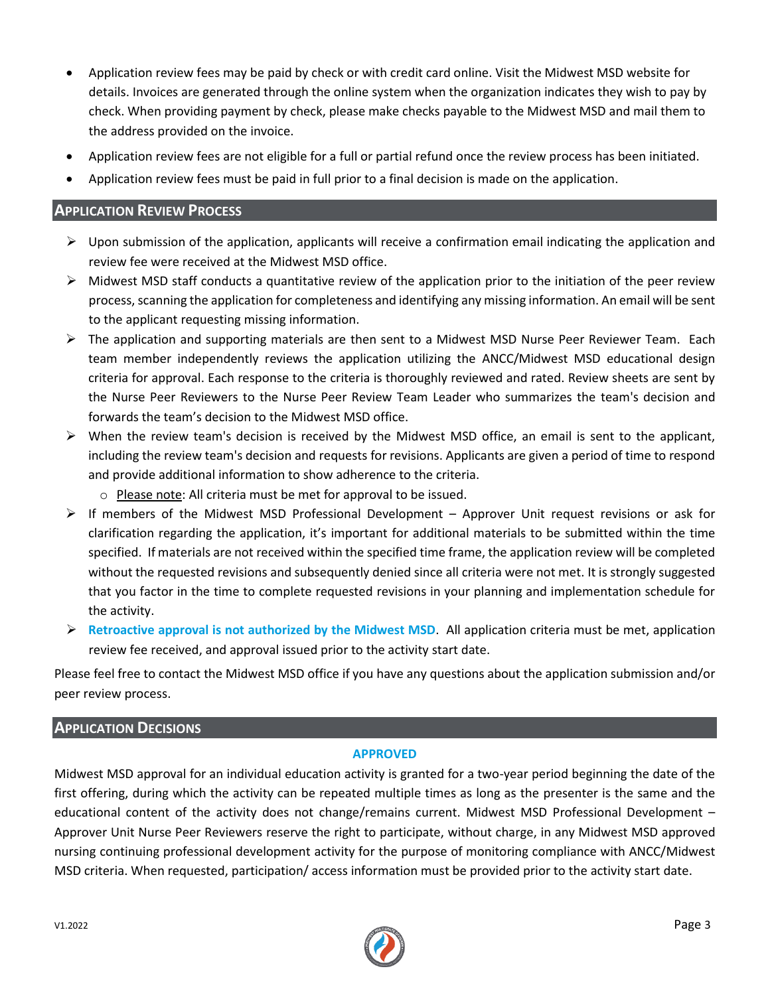- Application review fees may be paid by check or with credit card online. Visit the Midwest MSD website for details. Invoices are generated through the online system when the organization indicates they wish to pay by check. When providing payment by check, please make checks payable to the Midwest MSD and mail them to the address provided on the invoice.
- Application review fees are not eligible for a full or partial refund once the review process has been initiated.
- Application review fees must be paid in full prior to a final decision is made on the application.

# **APPLICATION REVIEW PROCESS**

- $\triangleright$  Upon submission of the application, applicants will receive a confirmation email indicating the application and review fee were received at the Midwest MSD office.
- $\triangleright$  Midwest MSD staff conducts a quantitative review of the application prior to the initiation of the peer review process, scanning the application for completeness and identifying any missing information. An email will be sent to the applicant requesting missing information.
- ➢ The application and supporting materials are then sent to a Midwest MSD Nurse Peer Reviewer Team. Each team member independently reviews the application utilizing the ANCC/Midwest MSD educational design criteria for approval. Each response to the criteria is thoroughly reviewed and rated. Review sheets are sent by the Nurse Peer Reviewers to the Nurse Peer Review Team Leader who summarizes the team's decision and forwards the team's decision to the Midwest MSD office.
- $\triangleright$  When the review team's decision is received by the Midwest MSD office, an email is sent to the applicant, including the review team's decision and requests for revisions. Applicants are given a period of time to respond and provide additional information to show adherence to the criteria.
	- o Please note: All criteria must be met for approval to be issued.
- $\triangleright$  If members of the Midwest MSD Professional Development Approver Unit request revisions or ask for clarification regarding the application, it's important for additional materials to be submitted within the time specified. If materials are not received within the specified time frame, the application review will be completed without the requested revisions and subsequently denied since all criteria were not met. It is strongly suggested that you factor in the time to complete requested revisions in your planning and implementation schedule for the activity.
- ➢ **Retroactive approval is not authorized by the Midwest MSD**. All application criteria must be met, application review fee received, and approval issued prior to the activity start date.

Please feel free to contact the Midwest MSD office if you have any questions about the application submission and/or peer review process.

#### **APPLICATION DECISIONS**

#### **APPROVED**

Midwest MSD approval for an individual education activity is granted for a two-year period beginning the date of the first offering, during which the activity can be repeated multiple times as long as the presenter is the same and the educational content of the activity does not change/remains current. Midwest MSD Professional Development – Approver Unit Nurse Peer Reviewers reserve the right to participate, without charge, in any Midwest MSD approved nursing continuing professional development activity for the purpose of monitoring compliance with ANCC/Midwest MSD criteria. When requested, participation/ access information must be provided prior to the activity start date.

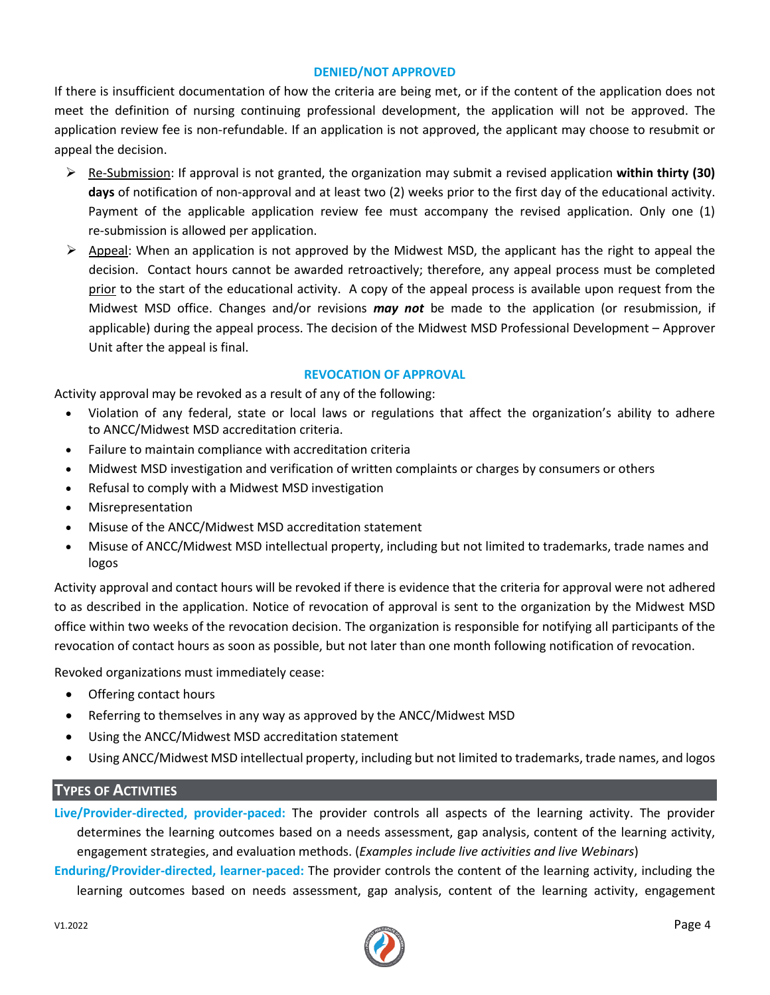#### **DENIED/NOT APPROVED**

If there is insufficient documentation of how the criteria are being met, or if the content of the application does not meet the definition of nursing continuing professional development, the application will not be approved. The application review fee is non-refundable. If an application is not approved, the applicant may choose to resubmit or appeal the decision.

- ➢ Re-Submission: If approval is not granted, the organization may submit a revised application **within thirty (30) days** of notification of non-approval and at least two (2) weeks prior to the first day of the educational activity. Payment of the applicable application review fee must accompany the revised application. Only one (1) re-submission is allowed per application.
- $\triangleright$  Appeal: When an application is not approved by the Midwest MSD, the applicant has the right to appeal the decision. Contact hours cannot be awarded retroactively; therefore, any appeal process must be completed prior to the start of the educational activity. A copy of the appeal process is available upon request from the Midwest MSD office. Changes and/or revisions *may not* be made to the application (or resubmission, if applicable) during the appeal process. The decision of the Midwest MSD Professional Development – Approver Unit after the appeal is final.

#### **REVOCATION OF APPROVAL**

Activity approval may be revoked as a result of any of the following:

- Violation of any federal, state or local laws or regulations that affect the organization's ability to adhere to ANCC/Midwest MSD accreditation criteria.
- Failure to maintain compliance with accreditation criteria
- Midwest MSD investigation and verification of written complaints or charges by consumers or others
- Refusal to comply with a Midwest MSD investigation
- Misrepresentation
- Misuse of the ANCC/Midwest MSD accreditation statement
- Misuse of ANCC/Midwest MSD intellectual property, including but not limited to trademarks, trade names and logos

Activity approval and contact hours will be revoked if there is evidence that the criteria for approval were not adhered to as described in the application. Notice of revocation of approval is sent to the organization by the Midwest MSD office within two weeks of the revocation decision. The organization is responsible for notifying all participants of the revocation of contact hours as soon as possible, but not later than one month following notification of revocation.

Revoked organizations must immediately cease:

- Offering contact hours
- Referring to themselves in any way as approved by the ANCC/Midwest MSD
- Using the ANCC/Midwest MSD accreditation statement
- Using ANCC/Midwest MSD intellectual property, including but not limited to trademarks, trade names, and logos

#### **TYPES OF ACTIVITIES**

**Live/Provider-directed, provider-paced:** The provider controls all aspects of the learning activity. The provider determines the learning outcomes based on a needs assessment, gap analysis, content of the learning activity, engagement strategies, and evaluation methods. (*Examples include live activities and live Webinars*)

**Enduring/Provider-directed, learner-paced:** The provider controls the content of the learning activity, including the learning outcomes based on needs assessment, gap analysis, content of the learning activity, engagement

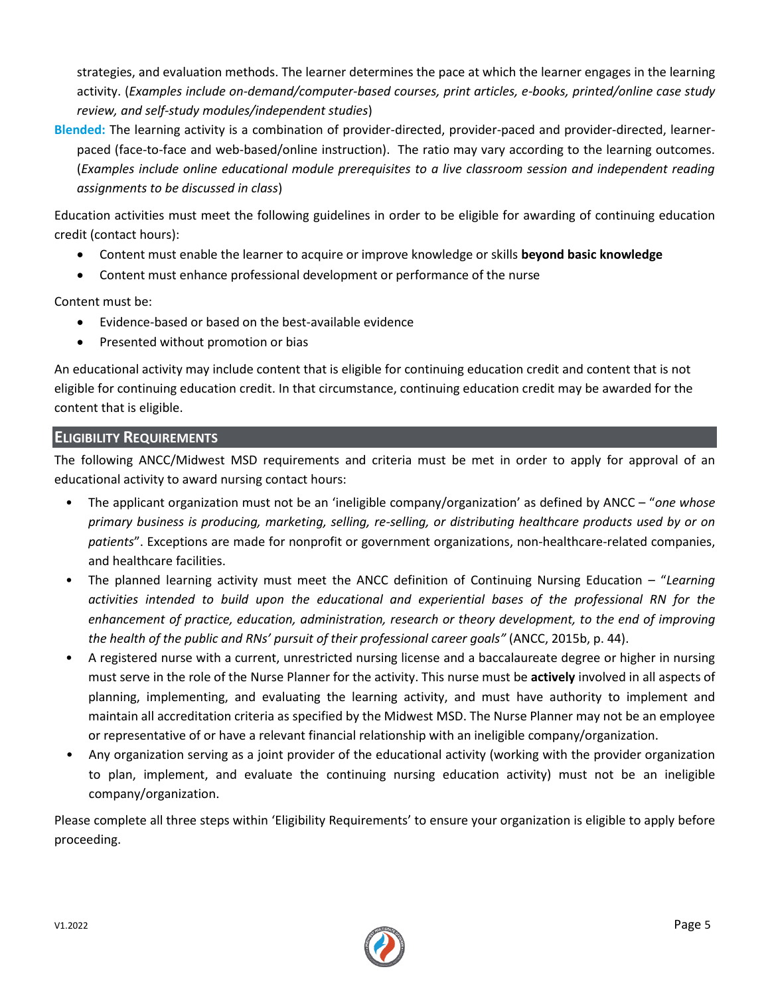strategies, and evaluation methods. The learner determines the pace at which the learner engages in the learning activity. (*Examples include on-demand/computer-based courses, print articles, e-books, printed/online case study review, and self-study modules/independent studies*)

**Blended:** The learning activity is a combination of provider-directed, provider-paced and provider-directed, learnerpaced (face-to-face and web-based/online instruction). The ratio may vary according to the learning outcomes. (*Examples include online educational module prerequisites to a live classroom session and independent reading assignments to be discussed in class*)

Education activities must meet the following guidelines in order to be eligible for awarding of continuing education credit (contact hours):

- Content must enable the learner to acquire or improve knowledge or skills **beyond basic knowledge**
- Content must enhance professional development or performance of the nurse

Content must be:

- Evidence-based or based on the best-available evidence
- Presented without promotion or bias

An educational activity may include content that is eligible for continuing education credit and content that is not eligible for continuing education credit. In that circumstance, continuing education credit may be awarded for the content that is eligible.

# **ELIGIBILITY REQUIREMENTS**

The following ANCC/Midwest MSD requirements and criteria must be met in order to apply for approval of an educational activity to award nursing contact hours:

- The applicant organization must not be an 'ineligible company/organization' as defined by ANCC "*one whose primary business is producing, marketing, selling, re-selling, or distributing healthcare products used by or on patients*". Exceptions are made for nonprofit or government organizations, non-healthcare-related companies, and healthcare facilities.
- The planned learning activity must meet the ANCC definition of Continuing Nursing Education "*Learning activities intended to build upon the educational and experiential bases of the professional RN for the enhancement of practice, education, administration, research or theory development, to the end of improving the health of the public and RNs' pursuit of their professional career goals"* (ANCC, 2015b, p. 44).
- A registered nurse with a current, unrestricted nursing license and a baccalaureate degree or higher in nursing must serve in the role of the Nurse Planner for the activity. This nurse must be **actively** involved in all aspects of planning, implementing, and evaluating the learning activity, and must have authority to implement and maintain all accreditation criteria as specified by the Midwest MSD. The Nurse Planner may not be an employee or representative of or have a relevant financial relationship with an ineligible company/organization.
- Any organization serving as a joint provider of the educational activity (working with the provider organization to plan, implement, and evaluate the continuing nursing education activity) must not be an ineligible company/organization.

Please complete all three steps within 'Eligibility Requirements' to ensure your organization is eligible to apply before proceeding.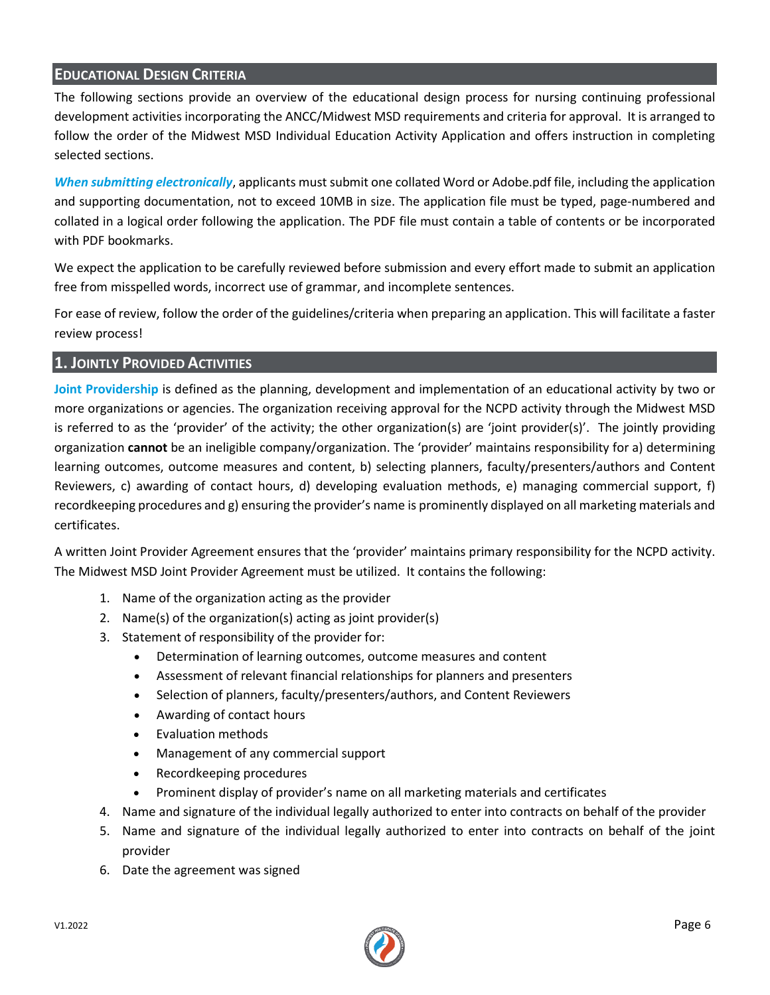# **EDUCATIONAL DESIGN CRITERIA**

The following sections provide an overview of the educational design process for nursing continuing professional development activities incorporating the ANCC/Midwest MSD requirements and criteria for approval. It is arranged to follow the order of the Midwest MSD Individual Education Activity Application and offers instruction in completing selected sections.

*When submitting electronically*, applicants must submit one collated Word or Adobe.pdf file, including the application and supporting documentation, not to exceed 10MB in size. The application file must be typed, page-numbered and collated in a logical order following the application. The PDF file must contain a table of contents or be incorporated with PDF bookmarks.

We expect the application to be carefully reviewed before submission and every effort made to submit an application free from misspelled words, incorrect use of grammar, and incomplete sentences.

For ease of review, follow the order of the guidelines/criteria when preparing an application. This will facilitate a faster review process!

#### **1. JOINTLY PROVIDED ACTIVITIES**

**Joint Providership** is defined as the planning, development and implementation of an educational activity by two or more organizations or agencies. The organization receiving approval for the NCPD activity through the Midwest MSD is referred to as the 'provider' of the activity; the other organization(s) are 'joint provider(s)'. The jointly providing organization **cannot** be an ineligible company/organization. The 'provider' maintains responsibility for a) determining learning outcomes, outcome measures and content, b) selecting planners, faculty/presenters/authors and Content Reviewers, c) awarding of contact hours, d) developing evaluation methods, e) managing commercial support, f) recordkeeping procedures and g) ensuring the provider's name is prominently displayed on all marketing materials and certificates.

A written Joint Provider Agreement ensures that the 'provider' maintains primary responsibility for the NCPD activity. The Midwest MSD Joint Provider Agreement must be utilized. It contains the following:

- 1. Name of the organization acting as the provider
- 2. Name(s) of the organization(s) acting as joint provider(s)
- 3. Statement of responsibility of the provider for:
	- Determination of learning outcomes, outcome measures and content
	- Assessment of relevant financial relationships for planners and presenters
	- Selection of planners, faculty/presenters/authors, and Content Reviewers
	- Awarding of contact hours
	- Evaluation methods
	- Management of any commercial support
	- Recordkeeping procedures
	- Prominent display of provider's name on all marketing materials and certificates
- 4. Name and signature of the individual legally authorized to enter into contracts on behalf of the provider
- 5. Name and signature of the individual legally authorized to enter into contracts on behalf of the joint provider
- 6. Date the agreement was signed

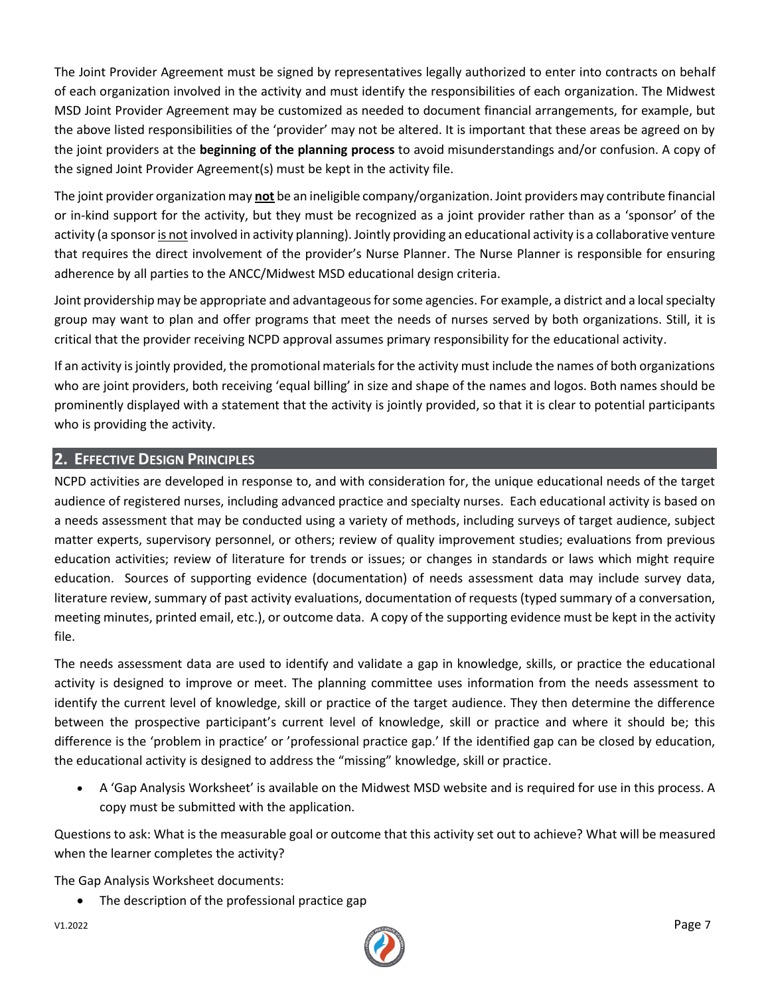The Joint Provider Agreement must be signed by representatives legally authorized to enter into contracts on behalf of each organization involved in the activity and must identify the responsibilities of each organization. The Midwest MSD Joint Provider Agreement may be customized as needed to document financial arrangements, for example, but the above listed responsibilities of the 'provider' may not be altered. It is important that these areas be agreed on by the joint providers at the **beginning of the planning process** to avoid misunderstandings and/or confusion. A copy of the signed Joint Provider Agreement(s) must be kept in the activity file.

The joint provider organization may **not** be an ineligible company/organization. Joint providers may contribute financial or in-kind support for the activity, but they must be recognized as a joint provider rather than as a 'sponsor' of the activity (a sponsor is not involved in activity planning). Jointly providing an educational activity is a collaborative venture that requires the direct involvement of the provider's Nurse Planner. The Nurse Planner is responsible for ensuring adherence by all parties to the ANCC/Midwest MSD educational design criteria.

Joint providership may be appropriate and advantageous for some agencies. For example, a district and a local specialty group may want to plan and offer programs that meet the needs of nurses served by both organizations. Still, it is critical that the provider receiving NCPD approval assumes primary responsibility for the educational activity.

If an activity is jointly provided, the promotional materials for the activity must include the names of both organizations who are joint providers, both receiving 'equal billing' in size and shape of the names and logos. Both names should be prominently displayed with a statement that the activity is jointly provided, so that it is clear to potential participants who is providing the activity.

# **2. EFFECTIVE DESIGN PRINCIPLES**

NCPD activities are developed in response to, and with consideration for, the unique educational needs of the target audience of registered nurses, including advanced practice and specialty nurses. Each educational activity is based on a needs assessment that may be conducted using a variety of methods, including surveys of target audience, subject matter experts, supervisory personnel, or others; review of quality improvement studies; evaluations from previous education activities; review of literature for trends or issues; or changes in standards or laws which might require education. Sources of supporting evidence (documentation) of needs assessment data may include survey data, literature review, summary of past activity evaluations, documentation of requests (typed summary of a conversation, meeting minutes, printed email, etc.), or outcome data. A copy of the supporting evidence must be kept in the activity file.

The needs assessment data are used to identify and validate a gap in knowledge, skills, or practice the educational activity is designed to improve or meet. The planning committee uses information from the needs assessment to identify the current level of knowledge, skill or practice of the target audience. They then determine the difference between the prospective participant's current level of knowledge, skill or practice and where it should be; this difference is the 'problem in practice' or 'professional practice gap.' If the identified gap can be closed by education, the educational activity is designed to address the "missing" knowledge, skill or practice.

• A 'Gap Analysis Worksheet' is available on the Midwest MSD website and is required for use in this process. A copy must be submitted with the application.

Questions to ask: What is the measurable goal or outcome that this activity set out to achieve? What will be measured when the learner completes the activity?

The Gap Analysis Worksheet documents:

• The description of the professional practice gap

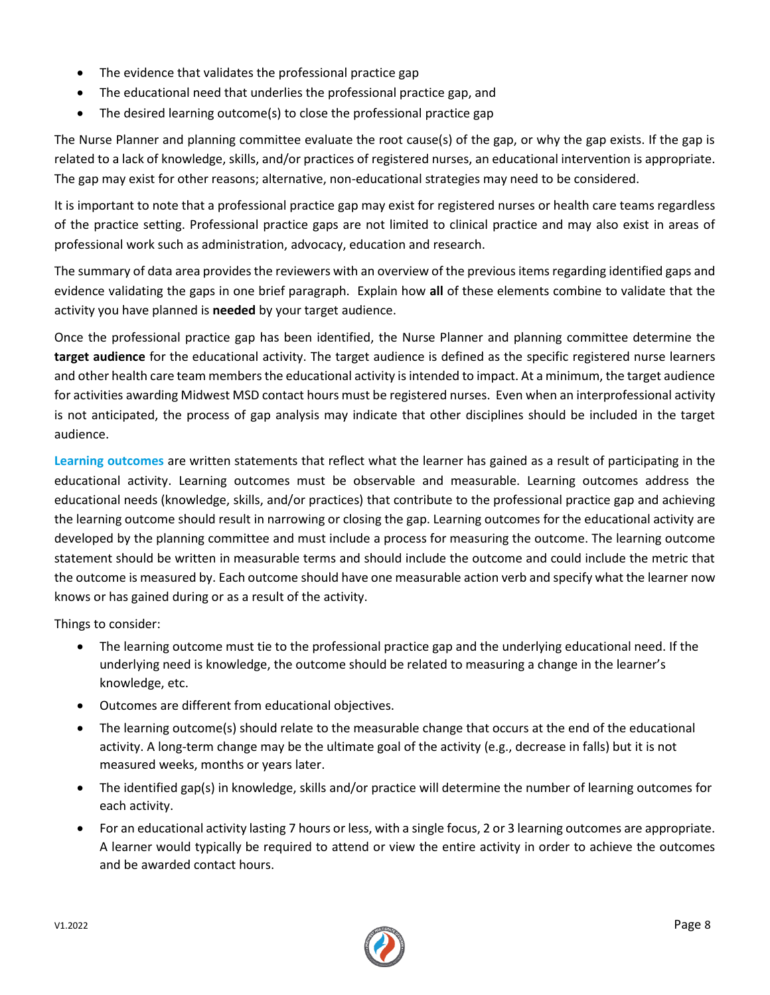- The evidence that validates the professional practice gap
- The educational need that underlies the professional practice gap, and
- The desired learning outcome(s) to close the professional practice gap

The Nurse Planner and planning committee evaluate the root cause(s) of the gap, or why the gap exists. If the gap is related to a lack of knowledge, skills, and/or practices of registered nurses, an educational intervention is appropriate. The gap may exist for other reasons; alternative, non-educational strategies may need to be considered.

It is important to note that a professional practice gap may exist for registered nurses or health care teams regardless of the practice setting. Professional practice gaps are not limited to clinical practice and may also exist in areas of professional work such as administration, advocacy, education and research.

The summary of data area provides the reviewers with an overview of the previous items regarding identified gaps and evidence validating the gaps in one brief paragraph. Explain how **all** of these elements combine to validate that the activity you have planned is **needed** by your target audience.

Once the professional practice gap has been identified, the Nurse Planner and planning committee determine the **target audience** for the educational activity. The target audience is defined as the specific registered nurse learners and other health care team members the educational activity is intended to impact. At a minimum, the target audience for activities awarding Midwest MSD contact hours must be registered nurses. Even when an interprofessional activity is not anticipated, the process of gap analysis may indicate that other disciplines should be included in the target audience.

**Learning outcomes** are written statements that reflect what the learner has gained as a result of participating in the educational activity. Learning outcomes must be observable and measurable. Learning outcomes address the educational needs (knowledge, skills, and/or practices) that contribute to the professional practice gap and achieving the learning outcome should result in narrowing or closing the gap. Learning outcomes for the educational activity are developed by the planning committee and must include a process for measuring the outcome. The learning outcome statement should be written in measurable terms and should include the outcome and could include the metric that the outcome is measured by. Each outcome should have one measurable action verb and specify what the learner now knows or has gained during or as a result of the activity.

Things to consider:

- The learning outcome must tie to the professional practice gap and the underlying educational need. If the underlying need is knowledge, the outcome should be related to measuring a change in the learner's knowledge, etc.
- Outcomes are different from educational objectives.
- The learning outcome(s) should relate to the measurable change that occurs at the end of the educational activity. A long-term change may be the ultimate goal of the activity (e.g., decrease in falls) but it is not measured weeks, months or years later.
- The identified gap(s) in knowledge, skills and/or practice will determine the number of learning outcomes for each activity.
- For an educational activity lasting 7 hours or less, with a single focus, 2 or 3 learning outcomes are appropriate. A learner would typically be required to attend or view the entire activity in order to achieve the outcomes and be awarded contact hours.

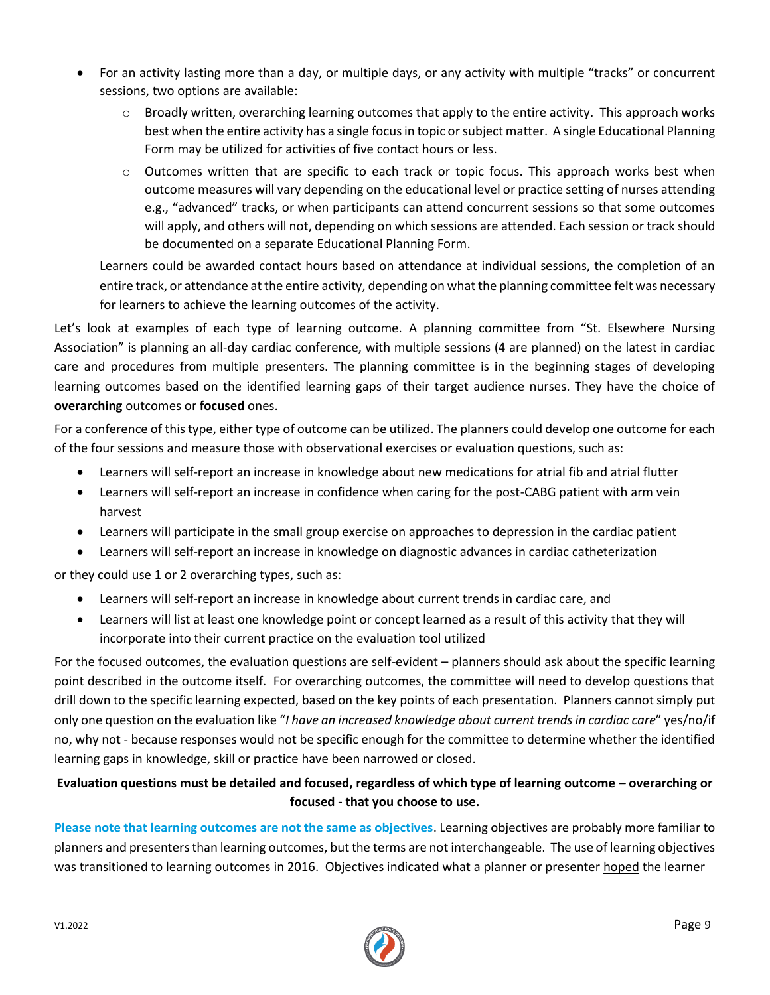- For an activity lasting more than a day, or multiple days, or any activity with multiple "tracks" or concurrent sessions, two options are available:
	- $\circ$  Broadly written, overarching learning outcomes that apply to the entire activity. This approach works best when the entire activity has a single focus in topic or subject matter. A single Educational Planning Form may be utilized for activities of five contact hours or less.
	- o Outcomes written that are specific to each track or topic focus. This approach works best when outcome measures will vary depending on the educational level or practice setting of nurses attending e.g., "advanced" tracks, or when participants can attend concurrent sessions so that some outcomes will apply, and others will not, depending on which sessions are attended. Each session or track should be documented on a separate Educational Planning Form.

Learners could be awarded contact hours based on attendance at individual sessions, the completion of an entire track, or attendance at the entire activity, depending on what the planning committee felt was necessary for learners to achieve the learning outcomes of the activity.

Let's look at examples of each type of learning outcome. A planning committee from "St. Elsewhere Nursing Association" is planning an all-day cardiac conference, with multiple sessions (4 are planned) on the latest in cardiac care and procedures from multiple presenters. The planning committee is in the beginning stages of developing learning outcomes based on the identified learning gaps of their target audience nurses. They have the choice of **overarching** outcomes or **focused** ones.

For a conference of this type, either type of outcome can be utilized. The planners could develop one outcome for each of the four sessions and measure those with observational exercises or evaluation questions, such as:

- Learners will self-report an increase in knowledge about new medications for atrial fib and atrial flutter
- Learners will self-report an increase in confidence when caring for the post-CABG patient with arm vein harvest
- Learners will participate in the small group exercise on approaches to depression in the cardiac patient
- Learners will self-report an increase in knowledge on diagnostic advances in cardiac catheterization

or they could use 1 or 2 overarching types, such as:

- Learners will self-report an increase in knowledge about current trends in cardiac care, and
- Learners will list at least one knowledge point or concept learned as a result of this activity that they will incorporate into their current practice on the evaluation tool utilized

For the focused outcomes, the evaluation questions are self-evident – planners should ask about the specific learning point described in the outcome itself. For overarching outcomes, the committee will need to develop questions that drill down to the specific learning expected, based on the key points of each presentation. Planners cannot simply put only one question on the evaluation like "*I have an increased knowledge about current trends in cardiac care*" yes/no/if no, why not - because responses would not be specific enough for the committee to determine whether the identified learning gaps in knowledge, skill or practice have been narrowed or closed.

# **Evaluation questions must be detailed and focused, regardless of which type of learning outcome – overarching or focused - that you choose to use.**

**Please note that learning outcomes are not the same as objectives**. Learning objectives are probably more familiar to planners and presenters than learning outcomes, but the terms are not interchangeable. The use of learning objectives was transitioned to learning outcomes in 2016. Objectives indicated what a planner or presenter hoped the learner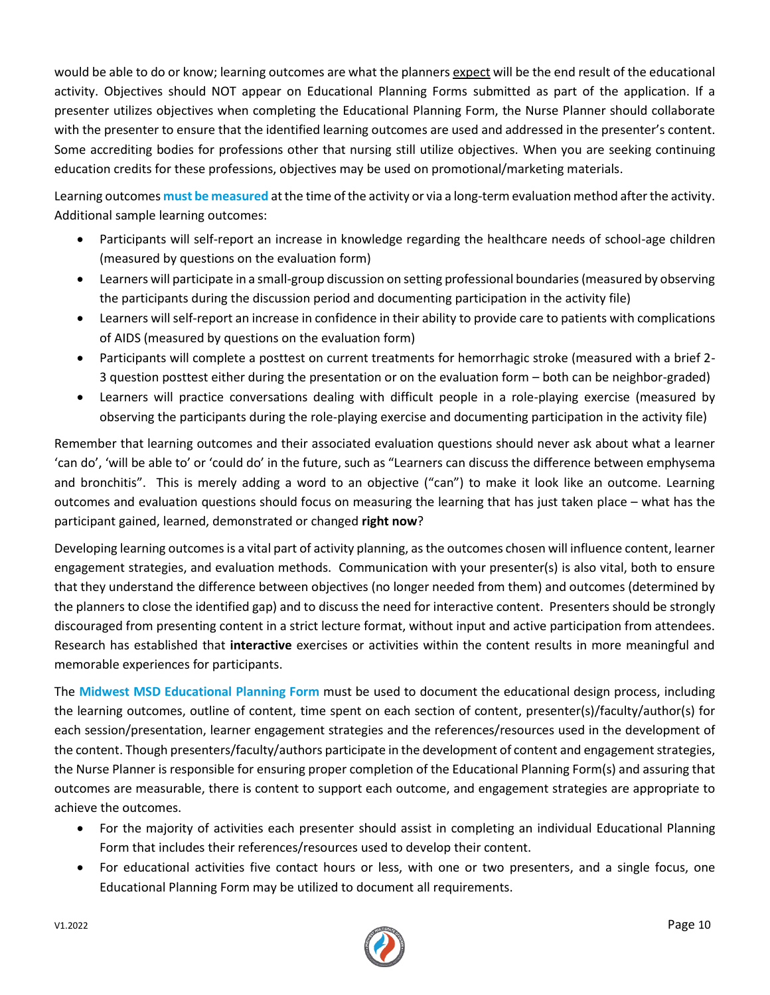would be able to do or know; learning outcomes are what the planners expect will be the end result of the educational activity. Objectives should NOT appear on Educational Planning Forms submitted as part of the application. If a presenter utilizes objectives when completing the Educational Planning Form, the Nurse Planner should collaborate with the presenter to ensure that the identified learning outcomes are used and addressed in the presenter's content. Some accrediting bodies for professions other that nursing still utilize objectives. When you are seeking continuing education credits for these professions, objectives may be used on promotional/marketing materials.

Learning outcomes **must be measured** at the time of the activity or via a long-term evaluation method after the activity. Additional sample learning outcomes:

- Participants will self-report an increase in knowledge regarding the healthcare needs of school-age children (measured by questions on the evaluation form)
- Learners will participate in a small-group discussion on setting professional boundaries (measured by observing the participants during the discussion period and documenting participation in the activity file)
- Learners will self-report an increase in confidence in their ability to provide care to patients with complications of AIDS (measured by questions on the evaluation form)
- Participants will complete a posttest on current treatments for hemorrhagic stroke (measured with a brief 2- 3 question posttest either during the presentation or on the evaluation form – both can be neighbor-graded)
- Learners will practice conversations dealing with difficult people in a role-playing exercise (measured by observing the participants during the role-playing exercise and documenting participation in the activity file)

Remember that learning outcomes and their associated evaluation questions should never ask about what a learner 'can do', 'will be able to' or 'could do' in the future, such as "Learners can discuss the difference between emphysema and bronchitis". This is merely adding a word to an objective ("can") to make it look like an outcome. Learning outcomes and evaluation questions should focus on measuring the learning that has just taken place – what has the participant gained, learned, demonstrated or changed **right now**?

Developing learning outcomes is a vital part of activity planning, as the outcomes chosen will influence content, learner engagement strategies, and evaluation methods. Communication with your presenter(s) is also vital, both to ensure that they understand the difference between objectives (no longer needed from them) and outcomes (determined by the planners to close the identified gap) and to discuss the need for interactive content. Presenters should be strongly discouraged from presenting content in a strict lecture format, without input and active participation from attendees. Research has established that **interactive** exercises or activities within the content results in more meaningful and memorable experiences for participants.

The **Midwest MSD Educational Planning Form** must be used to document the educational design process, including the learning outcomes, outline of content, time spent on each section of content, presenter(s)/faculty/author(s) for each session/presentation, learner engagement strategies and the references/resources used in the development of the content. Though presenters/faculty/authors participate in the development of content and engagement strategies, the Nurse Planner is responsible for ensuring proper completion of the Educational Planning Form(s) and assuring that outcomes are measurable, there is content to support each outcome, and engagement strategies are appropriate to achieve the outcomes.

- For the majority of activities each presenter should assist in completing an individual Educational Planning Form that includes their references/resources used to develop their content.
- For educational activities five contact hours or less, with one or two presenters, and a single focus, one Educational Planning Form may be utilized to document all requirements.

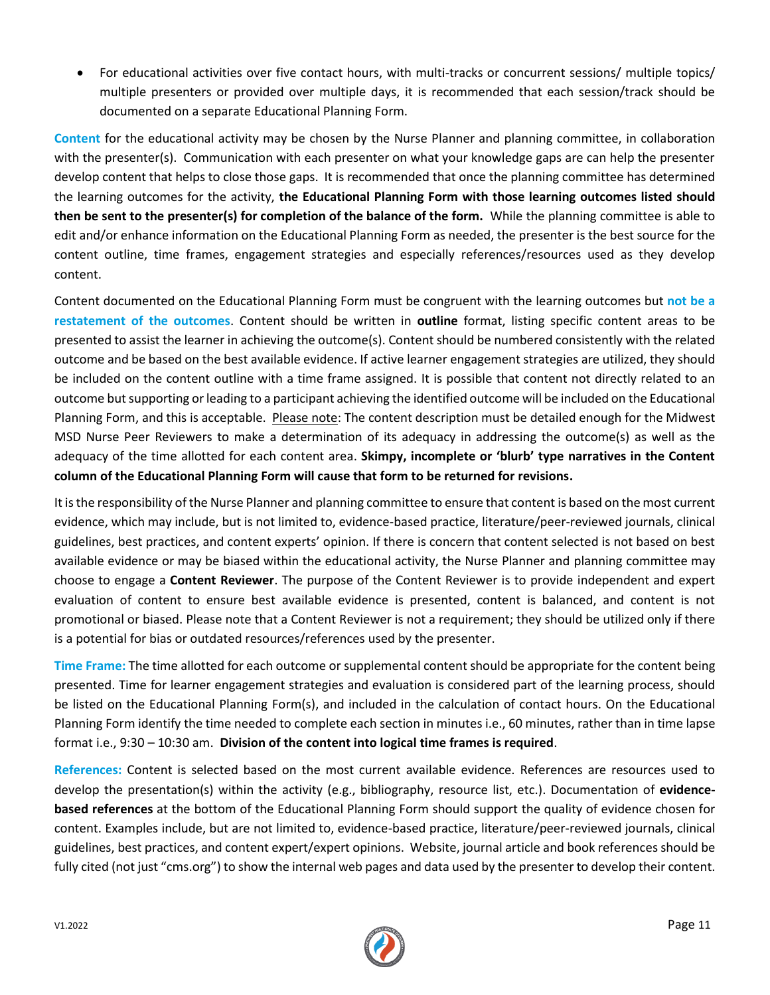• For educational activities over five contact hours, with multi-tracks or concurrent sessions/ multiple topics/ multiple presenters or provided over multiple days, it is recommended that each session/track should be documented on a separate Educational Planning Form.

**Content** for the educational activity may be chosen by the Nurse Planner and planning committee, in collaboration with the presenter(s). Communication with each presenter on what your knowledge gaps are can help the presenter develop content that helps to close those gaps. It is recommended that once the planning committee has determined the learning outcomes for the activity, **the Educational Planning Form with those learning outcomes listed should then be sent to the presenter(s) for completion of the balance of the form.** While the planning committee is able to edit and/or enhance information on the Educational Planning Form as needed, the presenter is the best source for the content outline, time frames, engagement strategies and especially references/resources used as they develop content.

Content documented on the Educational Planning Form must be congruent with the learning outcomes but **not be a restatement of the outcomes**. Content should be written in **outline** format, listing specific content areas to be presented to assist the learner in achieving the outcome(s). Content should be numbered consistently with the related outcome and be based on the best available evidence. If active learner engagement strategies are utilized, they should be included on the content outline with a time frame assigned. It is possible that content not directly related to an outcome but supporting or leading to a participant achieving the identified outcome will be included on the Educational Planning Form, and this is acceptable. Please note: The content description must be detailed enough for the Midwest MSD Nurse Peer Reviewers to make a determination of its adequacy in addressing the outcome(s) as well as the adequacy of the time allotted for each content area. **Skimpy, incomplete or 'blurb' type narratives in the Content column of the Educational Planning Form will cause that form to be returned for revisions.**

It is the responsibility of the Nurse Planner and planning committee to ensure that content is based on the most current evidence, which may include, but is not limited to, evidence-based practice, literature/peer-reviewed journals, clinical guidelines, best practices, and content experts' opinion. If there is concern that content selected is not based on best available evidence or may be biased within the educational activity, the Nurse Planner and planning committee may choose to engage a **Content Reviewer**. The purpose of the Content Reviewer is to provide independent and expert evaluation of content to ensure best available evidence is presented, content is balanced, and content is not promotional or biased. Please note that a Content Reviewer is not a requirement; they should be utilized only if there is a potential for bias or outdated resources/references used by the presenter.

**Time Frame:** The time allotted for each outcome or supplemental content should be appropriate for the content being presented. Time for learner engagement strategies and evaluation is considered part of the learning process, should be listed on the Educational Planning Form(s), and included in the calculation of contact hours. On the Educational Planning Form identify the time needed to complete each section in minutes i.e., 60 minutes, rather than in time lapse format i.e., 9:30 – 10:30 am. **Division of the content into logical time frames is required**.

**References:** Content is selected based on the most current available evidence. References are resources used to develop the presentation(s) within the activity (e.g., bibliography, resource list, etc.). Documentation of **evidencebased references** at the bottom of the Educational Planning Form should support the quality of evidence chosen for content. Examples include, but are not limited to, evidence-based practice, literature/peer-reviewed journals, clinical guidelines, best practices, and content expert/expert opinions. Website, journal article and book references should be fully cited (not just "cms.org") to show the internal web pages and data used by the presenter to develop their content.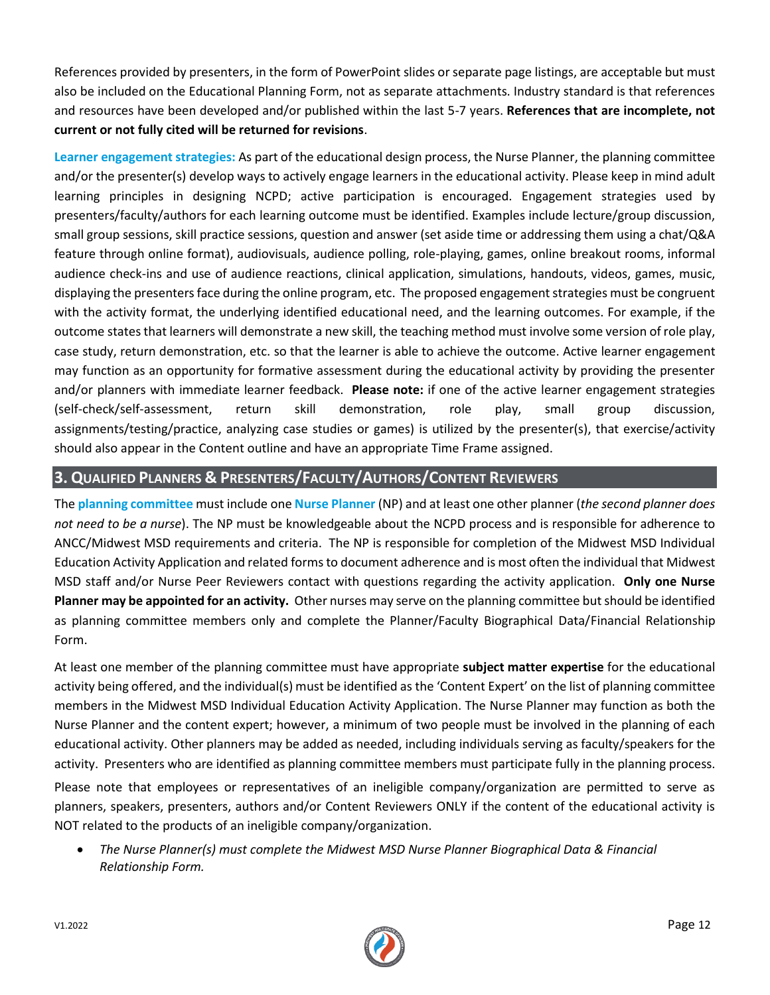References provided by presenters, in the form of PowerPoint slides or separate page listings, are acceptable but must also be included on the Educational Planning Form, not as separate attachments. Industry standard is that references and resources have been developed and/or published within the last 5-7 years. **References that are incomplete, not current or not fully cited will be returned for revisions**.

**Learner engagement strategies:** As part of the educational design process, the Nurse Planner, the planning committee and/or the presenter(s) develop ways to actively engage learners in the educational activity. Please keep in mind adult learning principles in designing NCPD; active participation is encouraged. Engagement strategies used by presenters/faculty/authors for each learning outcome must be identified. Examples include lecture/group discussion, small group sessions, skill practice sessions, question and answer (set aside time or addressing them using a chat/Q&A feature through online format), audiovisuals, audience polling, role-playing, games, online breakout rooms, informal audience check-ins and use of audience reactions, clinical application, simulations, handouts, videos, games, music, displaying the presenters face during the online program, etc. The proposed engagement strategies must be congruent with the activity format, the underlying identified educational need, and the learning outcomes. For example, if the outcome states that learners will demonstrate a new skill, the teaching method must involve some version of role play, case study, return demonstration, etc. so that the learner is able to achieve the outcome. Active learner engagement may function as an opportunity for formative assessment during the educational activity by providing the presenter and/or planners with immediate learner feedback. **Please note:** if one of the active learner engagement strategies (self-check/self-assessment, return skill demonstration, role play, small group discussion, assignments/testing/practice, analyzing case studies or games) is utilized by the presenter(s), that exercise/activity should also appear in the Content outline and have an appropriate Time Frame assigned.

# **3. QUALIFIED PLANNERS & PRESENTERS/FACULTY/AUTHORS/CONTENT REVIEWERS**

The **planning committee** must include one **Nurse Planner** (NP) and at least one other planner (*the second planner does not need to be a nurse*). The NP must be knowledgeable about the NCPD process and is responsible for adherence to ANCC/Midwest MSD requirements and criteria. The NP is responsible for completion of the Midwest MSD Individual Education Activity Application and related forms to document adherence and is most often the individual that Midwest MSD staff and/or Nurse Peer Reviewers contact with questions regarding the activity application. **Only one Nurse Planner may be appointed for an activity.** Other nurses may serve on the planning committee but should be identified as planning committee members only and complete the Planner/Faculty Biographical Data/Financial Relationship Form.

At least one member of the planning committee must have appropriate **subject matter expertise** for the educational activity being offered, and the individual(s) must be identified as the 'Content Expert' on the list of planning committee members in the Midwest MSD Individual Education Activity Application. The Nurse Planner may function as both the Nurse Planner and the content expert; however, a minimum of two people must be involved in the planning of each educational activity. Other planners may be added as needed, including individuals serving as faculty/speakers for the activity. Presenters who are identified as planning committee members must participate fully in the planning process.

Please note that employees or representatives of an ineligible company/organization are permitted to serve as planners, speakers, presenters, authors and/or Content Reviewers ONLY if the content of the educational activity is NOT related to the products of an ineligible company/organization.

• *The Nurse Planner(s) must complete the Midwest MSD Nurse Planner Biographical Data & Financial Relationship Form.*

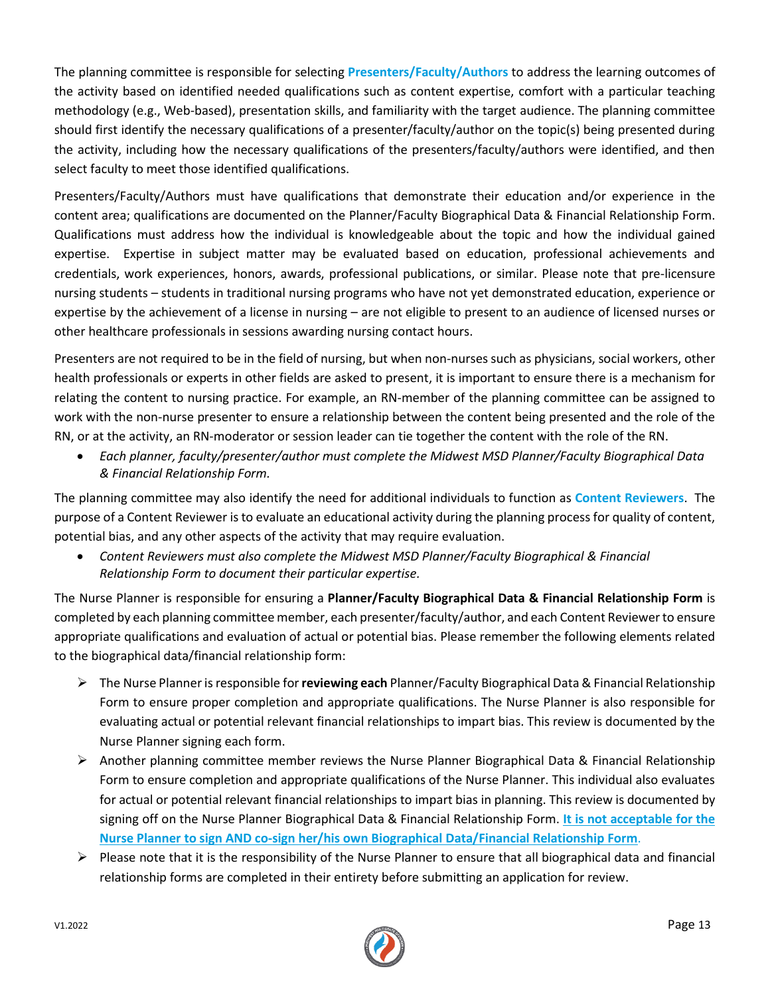The planning committee is responsible for selecting **Presenters/Faculty/Authors** to address the learning outcomes of the activity based on identified needed qualifications such as content expertise, comfort with a particular teaching methodology (e.g., Web-based), presentation skills, and familiarity with the target audience. The planning committee should first identify the necessary qualifications of a presenter/faculty/author on the topic(s) being presented during the activity, including how the necessary qualifications of the presenters/faculty/authors were identified, and then select faculty to meet those identified qualifications.

Presenters/Faculty/Authors must have qualifications that demonstrate their education and/or experience in the content area; qualifications are documented on the Planner/Faculty Biographical Data & Financial Relationship Form. Qualifications must address how the individual is knowledgeable about the topic and how the individual gained expertise. Expertise in subject matter may be evaluated based on education, professional achievements and credentials, work experiences, honors, awards, professional publications, or similar. Please note that pre-licensure nursing students – students in traditional nursing programs who have not yet demonstrated education, experience or expertise by the achievement of a license in nursing – are not eligible to present to an audience of licensed nurses or other healthcare professionals in sessions awarding nursing contact hours.

Presenters are not required to be in the field of nursing, but when non-nurses such as physicians, social workers, other health professionals or experts in other fields are asked to present, it is important to ensure there is a mechanism for relating the content to nursing practice. For example, an RN-member of the planning committee can be assigned to work with the non-nurse presenter to ensure a relationship between the content being presented and the role of the RN, or at the activity, an RN-moderator or session leader can tie together the content with the role of the RN.

• *Each planner, faculty/presenter/author must complete the Midwest MSD Planner/Faculty Biographical Data & Financial Relationship Form.*

The planning committee may also identify the need for additional individuals to function as **Content Reviewers**. The purpose of a Content Reviewer is to evaluate an educational activity during the planning process for quality of content, potential bias, and any other aspects of the activity that may require evaluation.

• *Content Reviewers must also complete the Midwest MSD Planner/Faculty Biographical & Financial Relationship Form to document their particular expertise.*

The Nurse Planner is responsible for ensuring a **Planner/Faculty Biographical Data & Financial Relationship Form** is completed by each planning committee member, each presenter/faculty/author, and each Content Reviewerto ensure appropriate qualifications and evaluation of actual or potential bias. Please remember the following elements related to the biographical data/financial relationship form:

- ➢ The Nurse Planner is responsible for **reviewing each** Planner/Faculty Biographical Data & Financial Relationship Form to ensure proper completion and appropriate qualifications. The Nurse Planner is also responsible for evaluating actual or potential relevant financial relationships to impart bias. This review is documented by the Nurse Planner signing each form.
- ➢ Another planning committee member reviews the Nurse Planner Biographical Data & Financial Relationship Form to ensure completion and appropriate qualifications of the Nurse Planner. This individual also evaluates for actual or potential relevant financial relationships to impart bias in planning. This review is documented by signing off on the Nurse Planner Biographical Data & Financial Relationship Form. **It is not acceptable for the Nurse Planner to sign AND co-sign her/his own Biographical Data/Financial Relationship Form**.
- $\triangleright$  Please note that it is the responsibility of the Nurse Planner to ensure that all biographical data and financial relationship forms are completed in their entirety before submitting an application for review.

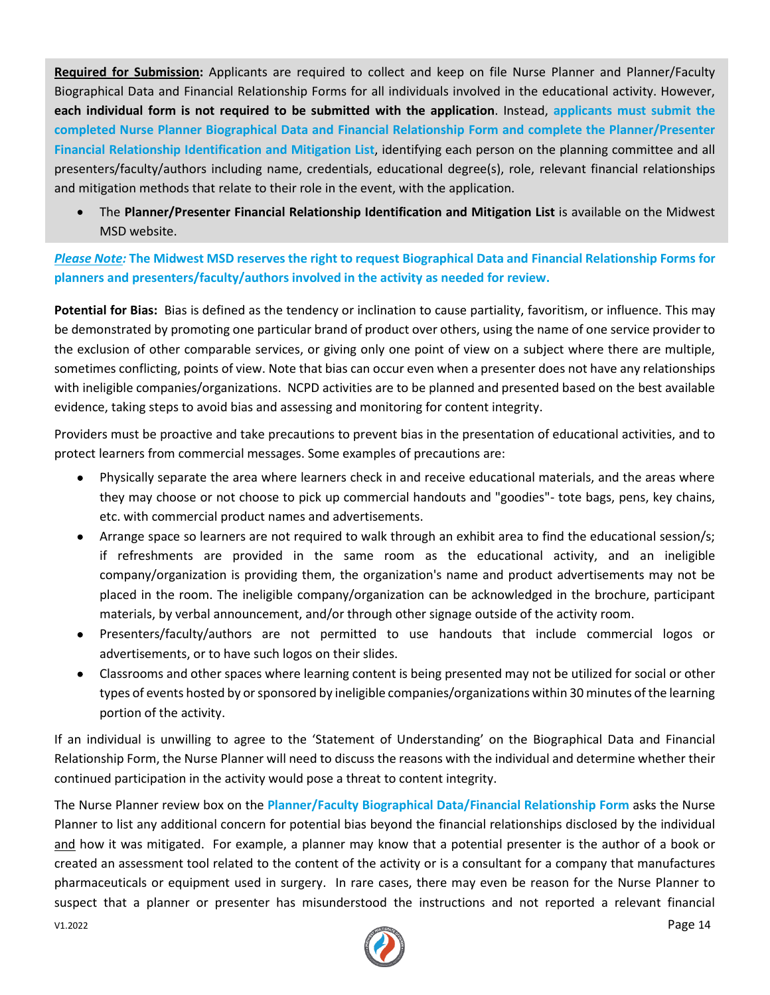**Required for Submission:** Applicants are required to collect and keep on file Nurse Planner and Planner/Faculty Biographical Data and Financial Relationship Forms for all individuals involved in the educational activity. However, **each individual form is not required to be submitted with the application**. Instead, **applicants must submit the completed Nurse Planner Biographical Data and Financial Relationship Form and complete the Planner/Presenter Financial Relationship Identification and Mitigation List**, identifying each person on the planning committee and all presenters/faculty/authors including name, credentials, educational degree(s), role, relevant financial relationships and mitigation methods that relate to their role in the event, with the application.

• The **Planner/Presenter Financial Relationship Identification and Mitigation List** is available on the Midwest MSD website.

*Please Note:* **The Midwest MSD reserves the right to request Biographical Data and Financial Relationship Forms for planners and presenters/faculty/authors involved in the activity as needed for review.**

**Potential for Bias:** Bias is defined as the tendency or inclination to cause partiality, favoritism, or influence. This may be demonstrated by promoting one particular brand of product over others, using the name of one service provider to the exclusion of other comparable services, or giving only one point of view on a subject where there are multiple, sometimes conflicting, points of view. Note that bias can occur even when a presenter does not have any relationships with ineligible companies/organizations. NCPD activities are to be planned and presented based on the best available evidence, taking steps to avoid bias and assessing and monitoring for content integrity.

Providers must be proactive and take precautions to prevent bias in the presentation of educational activities, and to protect learners from commercial messages. Some examples of precautions are:

- Physically separate the area where learners check in and receive educational materials, and the areas where they may choose or not choose to pick up commercial handouts and "goodies"- tote bags, pens, key chains, etc. with commercial product names and advertisements.
- Arrange space so learners are not required to walk through an exhibit area to find the educational session/s; if refreshments are provided in the same room as the educational activity, and an ineligible company/organization is providing them, the organization's name and product advertisements may not be placed in the room. The ineligible company/organization can be acknowledged in the brochure, participant materials, by verbal announcement, and/or through other signage outside of the activity room.
- Presenters/faculty/authors are not permitted to use handouts that include commercial logos or advertisements, or to have such logos on their slides.
- Classrooms and other spaces where learning content is being presented may not be utilized for social or other types of events hosted by or sponsored by ineligible companies/organizations within 30 minutes of the learning portion of the activity.

If an individual is unwilling to agree to the 'Statement of Understanding' on the Biographical Data and Financial Relationship Form, the Nurse Planner will need to discuss the reasons with the individual and determine whether their continued participation in the activity would pose a threat to content integrity.

The Nurse Planner review box on the **Planner/Faculty Biographical Data/Financial Relationship Form** asks the Nurse Planner to list any additional concern for potential bias beyond the financial relationships disclosed by the individual and how it was mitigated. For example, a planner may know that a potential presenter is the author of a book or created an assessment tool related to the content of the activity or is a consultant for a company that manufactures pharmaceuticals or equipment used in surgery. In rare cases, there may even be reason for the Nurse Planner to suspect that a planner or presenter has misunderstood the instructions and not reported a relevant financial

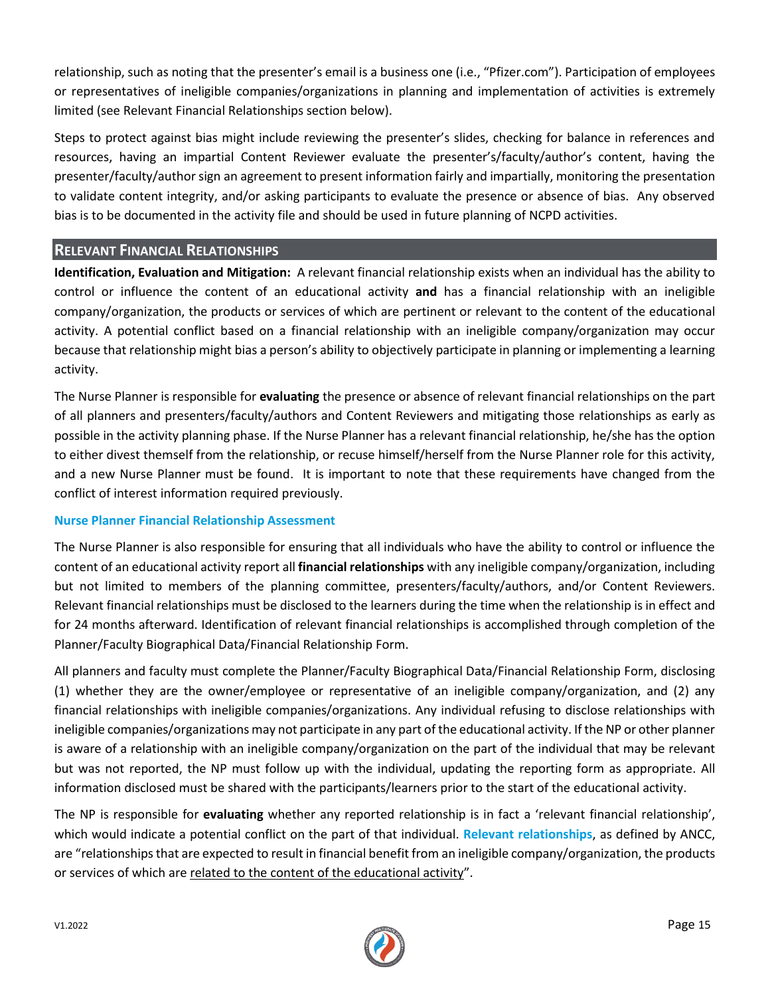relationship, such as noting that the presenter's email is a business one (i.e., "Pfizer.com"). Participation of employees or representatives of ineligible companies/organizations in planning and implementation of activities is extremely limited (see Relevant Financial Relationships section below).

Steps to protect against bias might include reviewing the presenter's slides, checking for balance in references and resources, having an impartial Content Reviewer evaluate the presenter's/faculty/author's content, having the presenter/faculty/author sign an agreement to present information fairly and impartially, monitoring the presentation to validate content integrity, and/or asking participants to evaluate the presence or absence of bias. Any observed bias is to be documented in the activity file and should be used in future planning of NCPD activities.

#### **RELEVANT FINANCIAL RELATIONSHIPS**

**Identification, Evaluation and Mitigation:** A relevant financial relationship exists when an individual has the ability to control or influence the content of an educational activity **and** has a financial relationship with an ineligible company/organization, the products or services of which are pertinent or relevant to the content of the educational activity. A potential conflict based on a financial relationship with an ineligible company/organization may occur because that relationship might bias a person's ability to objectively participate in planning or implementing a learning activity.

The Nurse Planner is responsible for **evaluating** the presence or absence of relevant financial relationships on the part of all planners and presenters/faculty/authors and Content Reviewers and mitigating those relationships as early as possible in the activity planning phase. If the Nurse Planner has a relevant financial relationship, he/she has the option to either divest themself from the relationship, or recuse himself/herself from the Nurse Planner role for this activity, and a new Nurse Planner must be found. It is important to note that these requirements have changed from the conflict of interest information required previously.

#### **Nurse Planner Financial Relationship Assessment**

The Nurse Planner is also responsible for ensuring that all individuals who have the ability to control or influence the content of an educational activity report all **financial relationships** with any ineligible company/organization, including but not limited to members of the planning committee, presenters/faculty/authors, and/or Content Reviewers. Relevant financial relationships must be disclosed to the learners during the time when the relationship is in effect and for 24 months afterward. Identification of relevant financial relationships is accomplished through completion of the Planner/Faculty Biographical Data/Financial Relationship Form.

All planners and faculty must complete the Planner/Faculty Biographical Data/Financial Relationship Form, disclosing (1) whether they are the owner/employee or representative of an ineligible company/organization, and (2) any financial relationships with ineligible companies/organizations. Any individual refusing to disclose relationships with ineligible companies/organizations may not participate in any part of the educational activity. If the NP or other planner is aware of a relationship with an ineligible company/organization on the part of the individual that may be relevant but was not reported, the NP must follow up with the individual, updating the reporting form as appropriate. All information disclosed must be shared with the participants/learners prior to the start of the educational activity.

The NP is responsible for **evaluating** whether any reported relationship is in fact a 'relevant financial relationship', which would indicate a potential conflict on the part of that individual. **Relevant relationships**, as defined by ANCC, are "relationships that are expected to result in financial benefit from an ineligible company/organization, the products or services of which are related to the content of the educational activity".

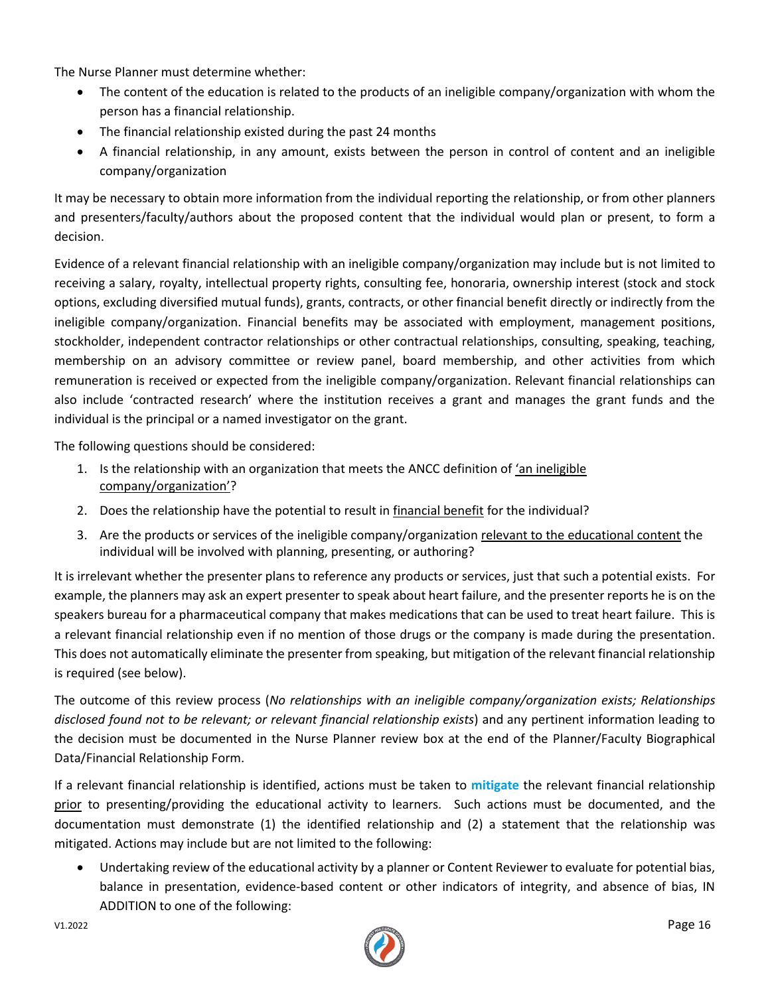The Nurse Planner must determine whether:

- The content of the education is related to the products of an ineligible company/organization with whom the person has a financial relationship.
- The financial relationship existed during the past 24 months
- A financial relationship, in any amount, exists between the person in control of content and an ineligible company/organization

It may be necessary to obtain more information from the individual reporting the relationship, or from other planners and presenters/faculty/authors about the proposed content that the individual would plan or present, to form a decision.

Evidence of a relevant financial relationship with an ineligible company/organization may include but is not limited to receiving a salary, royalty, intellectual property rights, consulting fee, honoraria, ownership interest (stock and stock options, excluding diversified mutual funds), grants, contracts, or other financial benefit directly or indirectly from the ineligible company/organization. Financial benefits may be associated with employment, management positions, stockholder, independent contractor relationships or other contractual relationships, consulting, speaking, teaching, membership on an advisory committee or review panel, board membership, and other activities from which remuneration is received or expected from the ineligible company/organization. Relevant financial relationships can also include 'contracted research' where the institution receives a grant and manages the grant funds and the individual is the principal or a named investigator on the grant.

The following questions should be considered:

- 1. Is the relationship with an organization that meets the ANCC definition of *'an ineligible* company/organization'?
- 2. Does the relationship have the potential to result in financial benefit for the individual?
- 3. Are the products or services of the ineligible company/organization relevant to the educational content the individual will be involved with planning, presenting, or authoring?

It is irrelevant whether the presenter plans to reference any products or services, just that such a potential exists. For example, the planners may ask an expert presenter to speak about heart failure, and the presenter reports he is on the speakers bureau for a pharmaceutical company that makes medications that can be used to treat heart failure. This is a relevant financial relationship even if no mention of those drugs or the company is made during the presentation. This does not automatically eliminate the presenter from speaking, but mitigation of the relevant financial relationship is required (see below).

The outcome of this review process (*No relationships with an ineligible company/organization exists; Relationships disclosed found not to be relevant; or relevant financial relationship exists*) and any pertinent information leading to the decision must be documented in the Nurse Planner review box at the end of the Planner/Faculty Biographical Data/Financial Relationship Form.

If a relevant financial relationship is identified, actions must be taken to **mitigate** the relevant financial relationship prior to presenting/providing the educational activity to learners. Such actions must be documented, and the documentation must demonstrate (1) the identified relationship and (2) a statement that the relationship was mitigated. Actions may include but are not limited to the following:

• Undertaking review of the educational activity by a planner or Content Reviewer to evaluate for potential bias, balance in presentation, evidence-based content or other indicators of integrity, and absence of bias, IN ADDITION to one of the following:

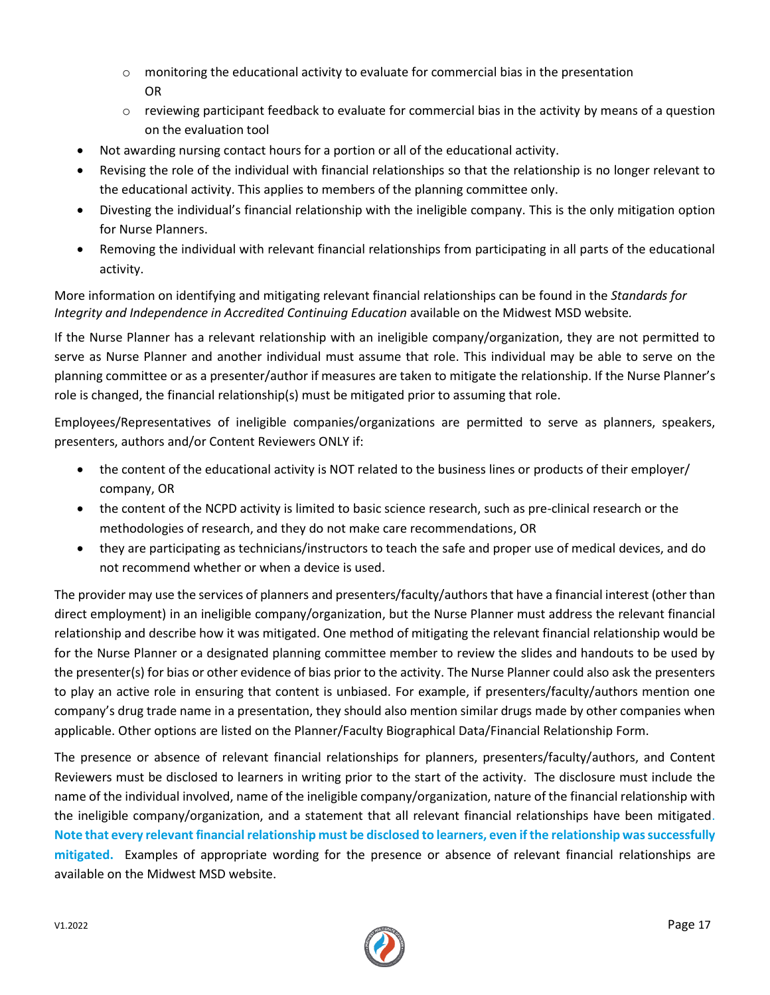- $\circ$  monitoring the educational activity to evaluate for commercial bias in the presentation OR
- $\circ$  reviewing participant feedback to evaluate for commercial bias in the activity by means of a question on the evaluation tool
- Not awarding nursing contact hours for a portion or all of the educational activity.
- Revising the role of the individual with financial relationships so that the relationship is no longer relevant to the educational activity. This applies to members of the planning committee only.
- Divesting the individual's financial relationship with the ineligible company. This is the only mitigation option for Nurse Planners.
- Removing the individual with relevant financial relationships from participating in all parts of the educational activity.

More information on identifying and mitigating relevant financial relationships can be found in the *Standards for Integrity and Independence in Accredited Continuing Education* available on the Midwest MSD website*.* 

If the Nurse Planner has a relevant relationship with an ineligible company/organization, they are not permitted to serve as Nurse Planner and another individual must assume that role. This individual may be able to serve on the planning committee or as a presenter/author if measures are taken to mitigate the relationship. If the Nurse Planner's role is changed, the financial relationship(s) must be mitigated prior to assuming that role.

Employees/Representatives of ineligible companies/organizations are permitted to serve as planners, speakers, presenters, authors and/or Content Reviewers ONLY if:

- the content of the educational activity is NOT related to the business lines or products of their employer/ company, OR
- the content of the NCPD activity is limited to basic science research, such as pre-clinical research or the methodologies of research, and they do not make care recommendations, OR
- they are participating as technicians/instructors to teach the safe and proper use of medical devices, and do not recommend whether or when a device is used.

The provider may use the services of planners and presenters/faculty/authorsthat have a financial interest (other than direct employment) in an ineligible company/organization, but the Nurse Planner must address the relevant financial relationship and describe how it was mitigated. One method of mitigating the relevant financial relationship would be for the Nurse Planner or a designated planning committee member to review the slides and handouts to be used by the presenter(s) for bias or other evidence of bias prior to the activity. The Nurse Planner could also ask the presenters to play an active role in ensuring that content is unbiased. For example, if presenters/faculty/authors mention one company's drug trade name in a presentation, they should also mention similar drugs made by other companies when applicable. Other options are listed on the Planner/Faculty Biographical Data/Financial Relationship Form.

The presence or absence of relevant financial relationships for planners, presenters/faculty/authors, and Content Reviewers must be disclosed to learners in writing prior to the start of the activity. The disclosure must include the name of the individual involved, name of the ineligible company/organization, nature of the financial relationship with the ineligible company/organization, and a statement that all relevant financial relationships have been mitigated. **Note that every relevant financial relationship must be disclosed to learners, even if the relationship was successfully mitigated.** Examples of appropriate wording for the presence or absence of relevant financial relationships are available on the Midwest MSD website.

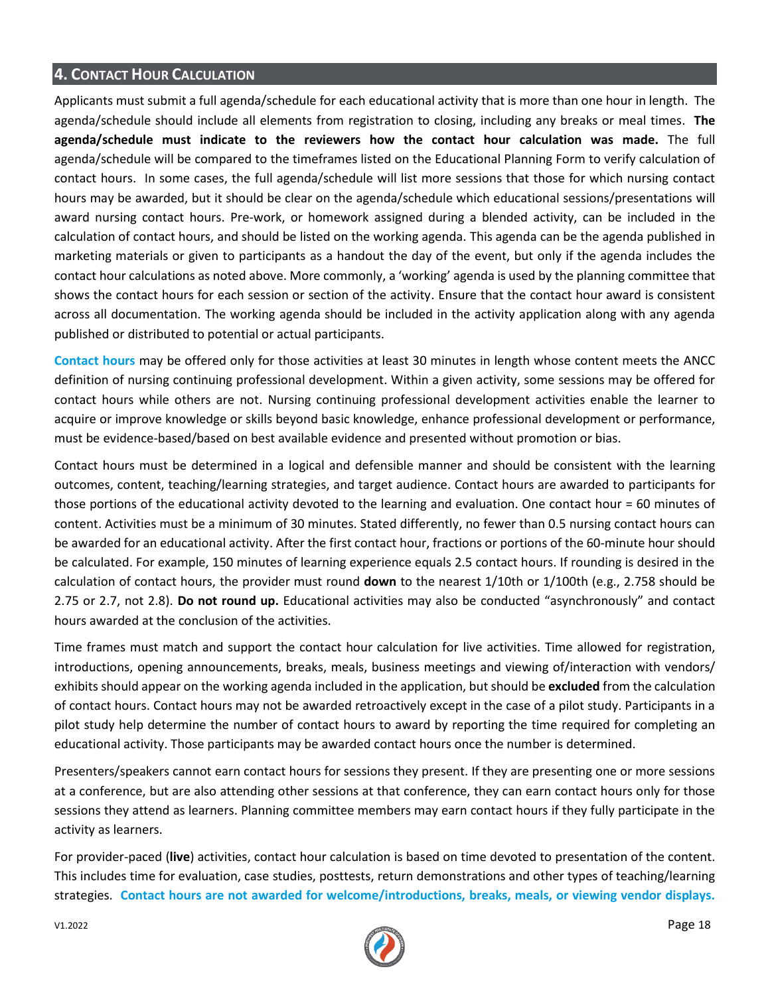# **4. CONTACT HOUR CALCULATION**

Applicants must submit a full agenda/schedule for each educational activity that is more than one hour in length. The agenda/schedule should include all elements from registration to closing, including any breaks or meal times. **The agenda/schedule must indicate to the reviewers how the contact hour calculation was made.** The full agenda/schedule will be compared to the timeframes listed on the Educational Planning Form to verify calculation of contact hours. In some cases, the full agenda/schedule will list more sessions that those for which nursing contact hours may be awarded, but it should be clear on the agenda/schedule which educational sessions/presentations will award nursing contact hours. Pre-work, or homework assigned during a blended activity, can be included in the calculation of contact hours, and should be listed on the working agenda. This agenda can be the agenda published in marketing materials or given to participants as a handout the day of the event, but only if the agenda includes the contact hour calculations as noted above. More commonly, a 'working' agenda is used by the planning committee that shows the contact hours for each session or section of the activity. Ensure that the contact hour award is consistent across all documentation. The working agenda should be included in the activity application along with any agenda published or distributed to potential or actual participants.

**Contact hours** may be offered only for those activities at least 30 minutes in length whose content meets the ANCC definition of nursing continuing professional development. Within a given activity, some sessions may be offered for contact hours while others are not. Nursing continuing professional development activities enable the learner to acquire or improve knowledge or skills beyond basic knowledge, enhance professional development or performance, must be evidence-based/based on best available evidence and presented without promotion or bias.

Contact hours must be determined in a logical and defensible manner and should be consistent with the learning outcomes, content, teaching/learning strategies, and target audience. Contact hours are awarded to participants for those portions of the educational activity devoted to the learning and evaluation. One contact hour = 60 minutes of content. Activities must be a minimum of 30 minutes. Stated differently, no fewer than 0.5 nursing contact hours can be awarded for an educational activity. After the first contact hour, fractions or portions of the 60-minute hour should be calculated. For example, 150 minutes of learning experience equals 2.5 contact hours. If rounding is desired in the calculation of contact hours, the provider must round **down** to the nearest 1/10th or 1/100th (e.g., 2.758 should be 2.75 or 2.7, not 2.8). **Do not round up.** Educational activities may also be conducted "asynchronously" and contact hours awarded at the conclusion of the activities.

Time frames must match and support the contact hour calculation for live activities. Time allowed for registration, introductions, opening announcements, breaks, meals, business meetings and viewing of/interaction with vendors/ exhibits should appear on the working agenda included in the application, but should be **excluded** from the calculation of contact hours. Contact hours may not be awarded retroactively except in the case of a pilot study. Participants in a pilot study help determine the number of contact hours to award by reporting the time required for completing an educational activity. Those participants may be awarded contact hours once the number is determined.

Presenters/speakers cannot earn contact hours for sessions they present. If they are presenting one or more sessions at a conference, but are also attending other sessions at that conference, they can earn contact hours only for those sessions they attend as learners. Planning committee members may earn contact hours if they fully participate in the activity as learners.

For provider-paced (**live**) activities, contact hour calculation is based on time devoted to presentation of the content. This includes time for evaluation, case studies, posttests, return demonstrations and other types of teaching/learning strategies. **Contact hours are not awarded for welcome/introductions, breaks, meals, or viewing vendor displays.**

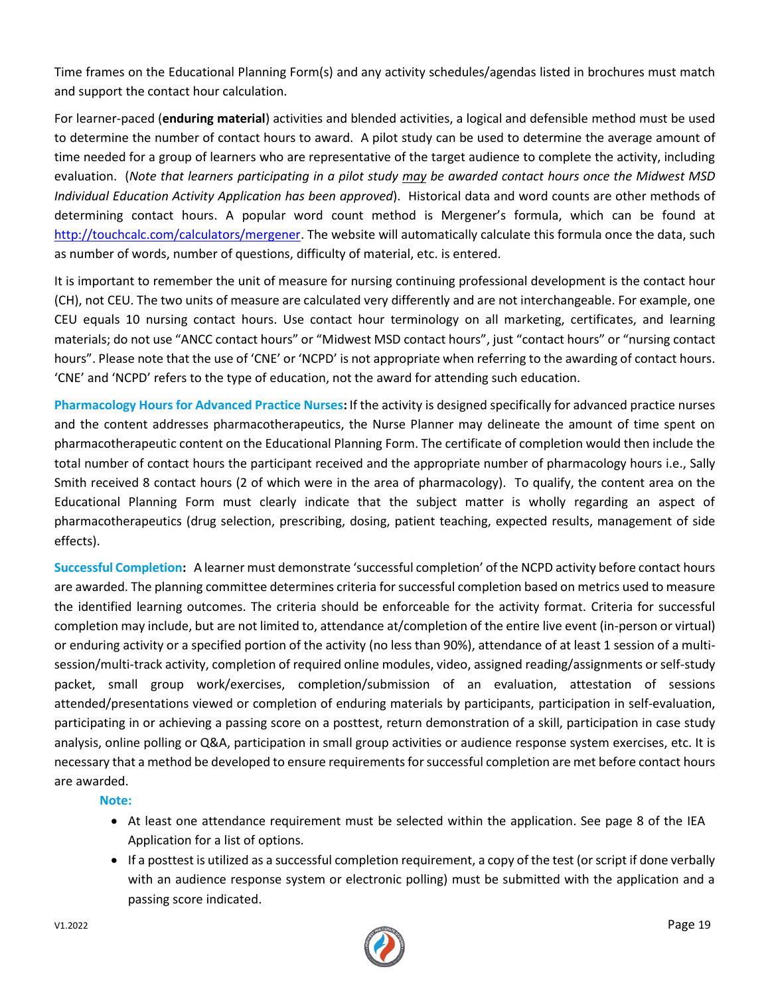Time frames on the Educational Planning Form(s) and any activity schedules/agendas listed in brochures must match and support the contact hour calculation.

For learner-paced (**enduring material**) activities and blended activities, a logical and defensible method must be used to determine the number of contact hours to award. A pilot study can be used to determine the average amount of time needed for a group of learners who are representative of the target audience to complete the activity, including evaluation. (*Note that learners participating in a pilot study may be awarded contact hours once the Midwest MSD Individual Education Activity Application has been approved*). Historical data and word counts are other methods of determining contact hours. A popular word count method is Mergener's formula, which can be found at [http://touchcalc.com/calculators/mergener.](http://touchcalc.com/calculators/mergener) The website will automatically calculate this formula once the data, such as number of words, number of questions, difficulty of material, etc. is entered.

It is important to remember the unit of measure for nursing continuing professional development is the contact hour (CH), not CEU. The two units of measure are calculated very differently and are not interchangeable. For example, one CEU equals 10 nursing contact hours. Use contact hour terminology on all marketing, certificates, and learning materials; do not use "ANCC contact hours" or "Midwest MSD contact hours", just "contact hours" or "nursing contact hours". Please note that the use of 'CNE' or 'NCPD' is not appropriate when referring to the awarding of contact hours. 'CNE' and 'NCPD' refers to the type of education, not the award for attending such education.

**Pharmacology Hours for Advanced Practice Nurses:** If the activity is designed specifically for advanced practice nurses and the content addresses pharmacotherapeutics, the Nurse Planner may delineate the amount of time spent on pharmacotherapeutic content on the Educational Planning Form. The certificate of completion would then include the total number of contact hours the participant received and the appropriate number of pharmacology hours i.e., Sally Smith received 8 contact hours (2 of which were in the area of pharmacology). To qualify, the content area on the Educational Planning Form must clearly indicate that the subject matter is wholly regarding an aspect of pharmacotherapeutics (drug selection, prescribing, dosing, patient teaching, expected results, management of side effects).

**Successful Completion:** A learner must demonstrate 'successful completion' of the NCPD activity before contact hours are awarded. The planning committee determines criteria for successful completion based on metrics used to measure the identified learning outcomes. The criteria should be enforceable for the activity format. Criteria for successful completion may include, but are not limited to, attendance at/completion of the entire live event (in-person or virtual) or enduring activity or a specified portion of the activity (no less than 90%), attendance of at least 1 session of a multisession/multi-track activity, completion of required online modules, video, assigned reading/assignments or self-study packet, small group work/exercises, completion/submission of an evaluation, attestation of sessions attended/presentations viewed or completion of enduring materials by participants, participation in self-evaluation, participating in or achieving a passing score on a posttest, return demonstration of a skill, participation in case study analysis, online polling or Q&A, participation in small group activities or audience response system exercises, etc. It is necessary that a method be developed to ensure requirements for successful completion are met before contact hours are awarded.

**Note:**

- At least one attendance requirement must be selected within the application. See page 8 of the IEA Application for a list of options.
- If a posttest is utilized as a successful completion requirement, a copy of the test (or script if done verbally with an audience response system or electronic polling) must be submitted with the application and a passing score indicated.

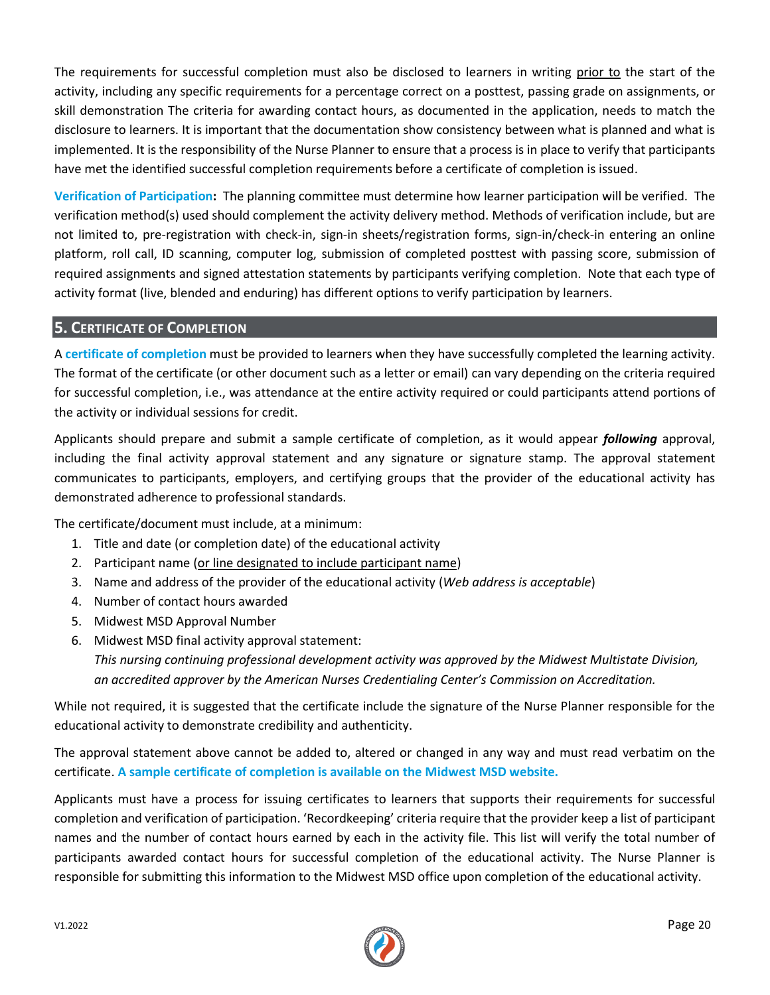The requirements for successful completion must also be disclosed to learners in writing prior to the start of the activity, including any specific requirements for a percentage correct on a posttest, passing grade on assignments, or skill demonstration The criteria for awarding contact hours, as documented in the application, needs to match the disclosure to learners. It is important that the documentation show consistency between what is planned and what is implemented. It is the responsibility of the Nurse Planner to ensure that a process is in place to verify that participants have met the identified successful completion requirements before a certificate of completion is issued.

**Verification of Participation:** The planning committee must determine how learner participation will be verified. The verification method(s) used should complement the activity delivery method. Methods of verification include, but are not limited to, pre-registration with check-in, sign-in sheets/registration forms, sign-in/check-in entering an online platform, roll call, ID scanning, computer log, submission of completed posttest with passing score, submission of required assignments and signed attestation statements by participants verifying completion. Note that each type of activity format (live, blended and enduring) has different options to verify participation by learners.

#### **5. CERTIFICATE OF COMPLETION**

A **certificate of completion** must be provided to learners when they have successfully completed the learning activity. The format of the certificate (or other document such as a letter or email) can vary depending on the criteria required for successful completion, i.e., was attendance at the entire activity required or could participants attend portions of the activity or individual sessions for credit.

Applicants should prepare and submit a sample certificate of completion, as it would appear *following* approval, including the final activity approval statement and any signature or signature stamp. The approval statement communicates to participants, employers, and certifying groups that the provider of the educational activity has demonstrated adherence to professional standards.

The certificate/document must include, at a minimum:

- 1. Title and date (or completion date) of the educational activity
- 2. Participant name (or line designated to include participant name)
- 3. Name and address of the provider of the educational activity (*Web address is acceptable*)
- 4. Number of contact hours awarded
- 5. Midwest MSD Approval Number
- 6. Midwest MSD final activity approval statement: *This nursing continuing professional development activity was approved by the Midwest Multistate Division, an accredited approver by the American Nurses Credentialing Center's Commission on Accreditation.*

While not required, it is suggested that the certificate include the signature of the Nurse Planner responsible for the educational activity to demonstrate credibility and authenticity.

The approval statement above cannot be added to, altered or changed in any way and must read verbatim on the certificate. **A sample certificate of completion is available on the Midwest MSD website.**

Applicants must have a process for issuing certificates to learners that supports their requirements for successful completion and verification of participation. 'Recordkeeping' criteria require that the provider keep a list of participant names and the number of contact hours earned by each in the activity file. This list will verify the total number of participants awarded contact hours for successful completion of the educational activity. The Nurse Planner is responsible for submitting this information to the Midwest MSD office upon completion of the educational activity.

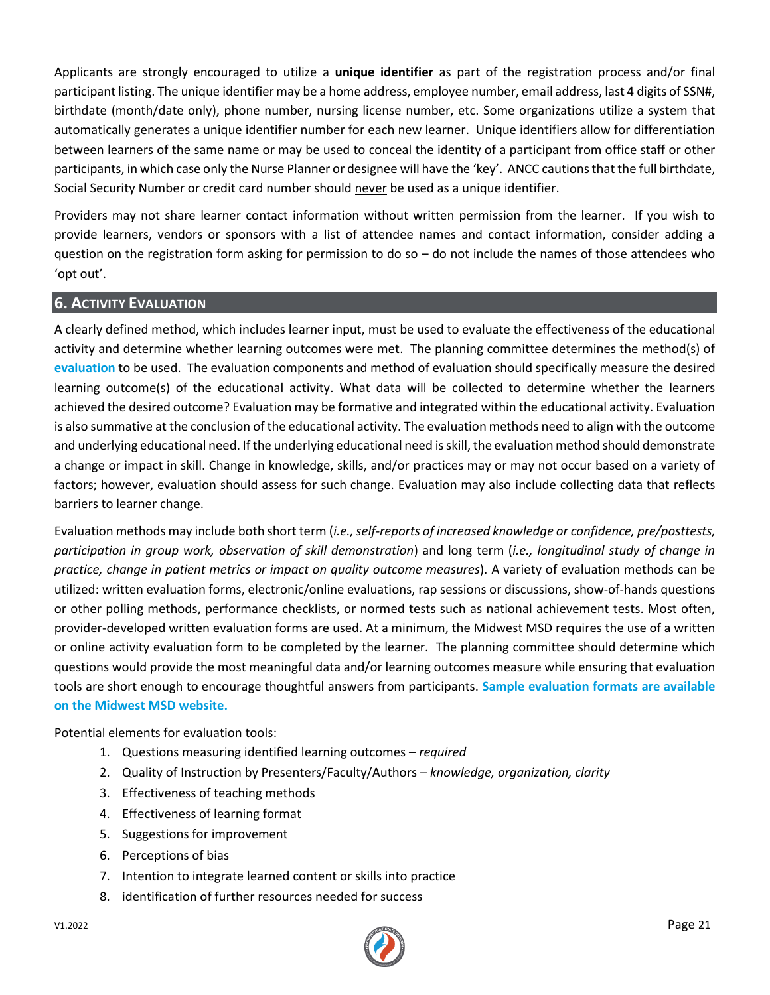Applicants are strongly encouraged to utilize a **unique identifier** as part of the registration process and/or final participant listing. The unique identifier may be a home address, employee number, email address, last 4 digits of SSN#, birthdate (month/date only), phone number, nursing license number, etc. Some organizations utilize a system that automatically generates a unique identifier number for each new learner. Unique identifiers allow for differentiation between learners of the same name or may be used to conceal the identity of a participant from office staff or other participants, in which case only the Nurse Planner or designee will have the 'key'. ANCC cautions that the full birthdate, Social Security Number or credit card number should never be used as a unique identifier.

Providers may not share learner contact information without written permission from the learner. If you wish to provide learners, vendors or sponsors with a list of attendee names and contact information, consider adding a question on the registration form asking for permission to do so  $-$  do not include the names of those attendees who 'opt out'.

# **6. ACTIVITY EVALUATION**

A clearly defined method, which includes learner input, must be used to evaluate the effectiveness of the educational activity and determine whether learning outcomes were met. The planning committee determines the method(s) of **evaluation** to be used. The evaluation components and method of evaluation should specifically measure the desired learning outcome(s) of the educational activity. What data will be collected to determine whether the learners achieved the desired outcome? Evaluation may be formative and integrated within the educational activity. Evaluation is also summative at the conclusion of the educational activity. The evaluation methods need to align with the outcome and underlying educational need. If the underlying educational need is skill, the evaluation method should demonstrate a change or impact in skill. Change in knowledge, skills, and/or practices may or may not occur based on a variety of factors; however, evaluation should assess for such change. Evaluation may also include collecting data that reflects barriers to learner change.

Evaluation methods may include both short term (*i.e.,self-reports of increased knowledge or confidence, pre/posttests, participation in group work, observation of skill demonstration*) and long term (*i.e., longitudinal study of change in practice, change in patient metrics or impact on quality outcome measures*). A variety of evaluation methods can be utilized: written evaluation forms, electronic/online evaluations, rap sessions or discussions, show-of-hands questions or other polling methods, performance checklists, or normed tests such as national achievement tests. Most often, provider-developed written evaluation forms are used. At a minimum, the Midwest MSD requires the use of a written or online activity evaluation form to be completed by the learner. The planning committee should determine which questions would provide the most meaningful data and/or learning outcomes measure while ensuring that evaluation tools are short enough to encourage thoughtful answers from participants. **Sample evaluation formats are available on the Midwest MSD website.**

Potential elements for evaluation tools:

- 1. Questions measuring identified learning outcomes *required*
- 2. Quality of Instruction by Presenters/Faculty/Authors *knowledge, organization, clarity*
- 3. Effectiveness of teaching methods
- 4. Effectiveness of learning format
- 5. Suggestions for improvement
- 6. Perceptions of bias
- 7. Intention to integrate learned content or skills into practice
- 8. identification of further resources needed for success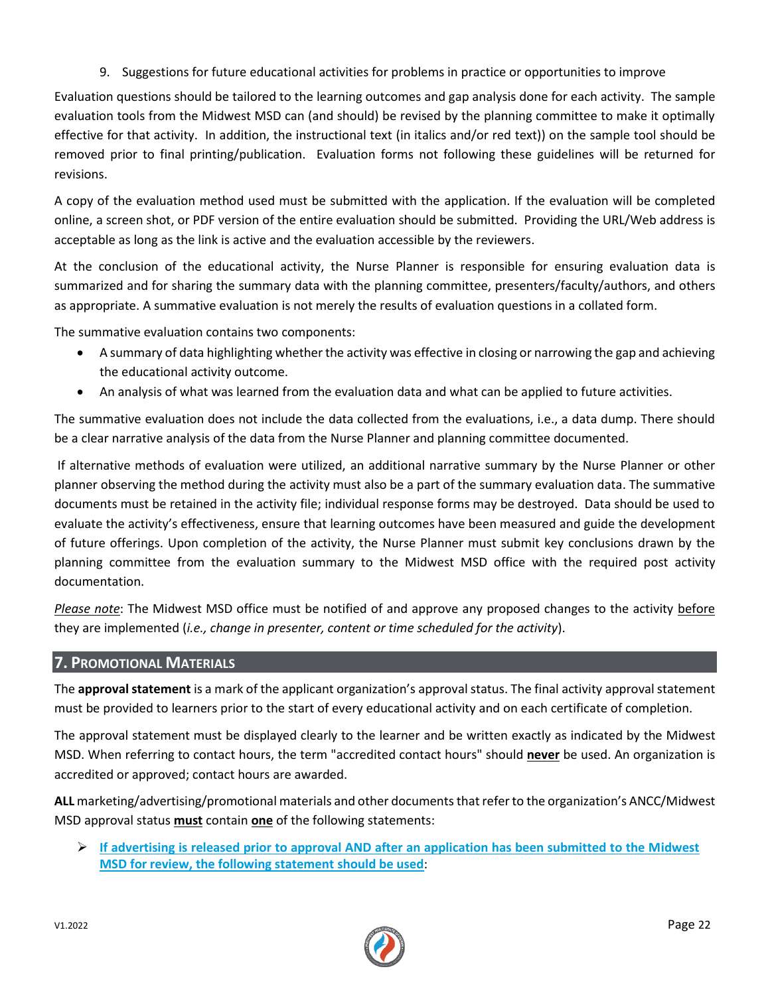9. Suggestions for future educational activities for problems in practice or opportunities to improve

Evaluation questions should be tailored to the learning outcomes and gap analysis done for each activity. The sample evaluation tools from the Midwest MSD can (and should) be revised by the planning committee to make it optimally effective for that activity. In addition, the instructional text (in italics and/or red text)) on the sample tool should be removed prior to final printing/publication. Evaluation forms not following these guidelines will be returned for revisions.

A copy of the evaluation method used must be submitted with the application. If the evaluation will be completed online, a screen shot, or PDF version of the entire evaluation should be submitted. Providing the URL/Web address is acceptable as long as the link is active and the evaluation accessible by the reviewers.

At the conclusion of the educational activity, the Nurse Planner is responsible for ensuring evaluation data is summarized and for sharing the summary data with the planning committee, presenters/faculty/authors, and others as appropriate. A summative evaluation is not merely the results of evaluation questions in a collated form.

The summative evaluation contains two components:

- A summary of data highlighting whether the activity was effective in closing or narrowing the gap and achieving the educational activity outcome.
- An analysis of what was learned from the evaluation data and what can be applied to future activities.

The summative evaluation does not include the data collected from the evaluations, i.e., a data dump. There should be a clear narrative analysis of the data from the Nurse Planner and planning committee documented.

If alternative methods of evaluation were utilized, an additional narrative summary by the Nurse Planner or other planner observing the method during the activity must also be a part of the summary evaluation data. The summative documents must be retained in the activity file; individual response forms may be destroyed. Data should be used to evaluate the activity's effectiveness, ensure that learning outcomes have been measured and guide the development of future offerings. Upon completion of the activity, the Nurse Planner must submit key conclusions drawn by the planning committee from the evaluation summary to the Midwest MSD office with the required post activity documentation.

*Please note*: The Midwest MSD office must be notified of and approve any proposed changes to the activity before they are implemented (*i.e., change in presenter, content or time scheduled for the activity*).

#### **7. PROMOTIONAL MATERIALS**

The **approval statement** is a mark of the applicant organization's approval status. The final activity approval statement must be provided to learners prior to the start of every educational activity and on each certificate of completion.

The approval statement must be displayed clearly to the learner and be written exactly as indicated by the Midwest MSD. When referring to contact hours, the term "accredited contact hours" should **never** be used. An organization is accredited or approved; contact hours are awarded.

**ALL** marketing/advertising/promotional materials and other documents that refer to the organization's ANCC/Midwest MSD approval status **must** contain **one** of the following statements:

➢ **If advertising is released prior to approval AND after an application has been submitted to the Midwest MSD for review, the following statement should be used**:

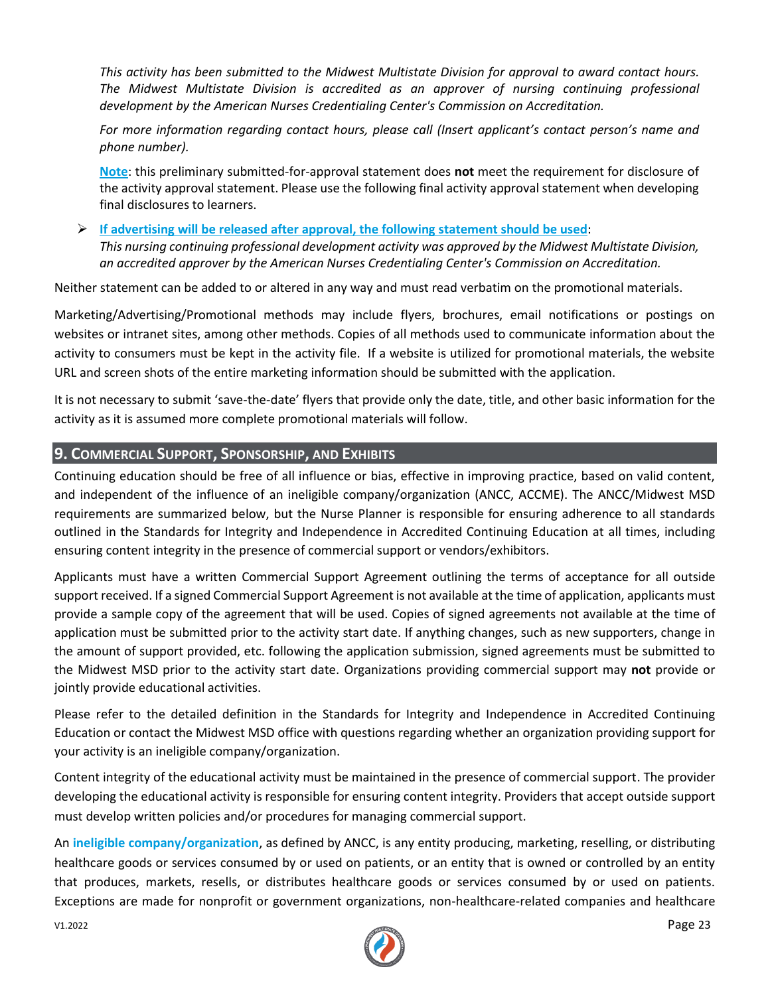*This activity has been submitted to the Midwest Multistate Division for approval to award contact hours. The Midwest Multistate Division is accredited as an approver of nursing continuing professional development by the American Nurses Credentialing Center's Commission on Accreditation.*

*For more information regarding contact hours, please call (Insert applicant's contact person's name and phone number).*

**Note**: this preliminary submitted-for-approval statement does **not** meet the requirement for disclosure of the activity approval statement. Please use the following final activity approval statement when developing final disclosures to learners.

➢ **If advertising will be released after approval, the following statement should be used**: *This nursing continuing professional development activity was approved by the Midwest Multistate Division, an accredited approver by the American Nurses Credentialing Center's Commission on Accreditation.*

Neither statement can be added to or altered in any way and must read verbatim on the promotional materials.

Marketing/Advertising/Promotional methods may include flyers, brochures, email notifications or postings on websites or intranet sites, among other methods. Copies of all methods used to communicate information about the activity to consumers must be kept in the activity file. If a website is utilized for promotional materials, the website URL and screen shots of the entire marketing information should be submitted with the application.

It is not necessary to submit 'save-the-date' flyers that provide only the date, title, and other basic information for the activity as it is assumed more complete promotional materials will follow.

#### **9. COMMERCIAL SUPPORT, SPONSORSHIP, AND EXHIBITS**

Continuing education should be free of all influence or bias, effective in improving practice, based on valid content, and independent of the influence of an ineligible company/organization (ANCC, ACCME). The ANCC/Midwest MSD requirements are summarized below, but the Nurse Planner is responsible for ensuring adherence to all standards outlined in the Standards for Integrity and Independence in Accredited Continuing Education at all times, including ensuring content integrity in the presence of commercial support or vendors/exhibitors.

Applicants must have a written Commercial Support Agreement outlining the terms of acceptance for all outside support received. If a signed Commercial Support Agreement is not available at the time of application, applicants must provide a sample copy of the agreement that will be used. Copies of signed agreements not available at the time of application must be submitted prior to the activity start date. If anything changes, such as new supporters, change in the amount of support provided, etc. following the application submission, signed agreements must be submitted to the Midwest MSD prior to the activity start date. Organizations providing commercial support may **not** provide or jointly provide educational activities.

Please refer to the detailed definition in the Standards for Integrity and Independence in Accredited Continuing Education or contact the Midwest MSD office with questions regarding whether an organization providing support for your activity is an ineligible company/organization.

Content integrity of the educational activity must be maintained in the presence of commercial support. The provider developing the educational activity is responsible for ensuring content integrity. Providers that accept outside support must develop written policies and/or procedures for managing commercial support.

An **ineligible company/organization**, as defined by ANCC, is any entity producing, marketing, reselling, or distributing healthcare goods or services consumed by or used on patients, or an entity that is owned or controlled by an entity that produces, markets, resells, or distributes healthcare goods or services consumed by or used on patients. Exceptions are made for nonprofit or government organizations, non-healthcare-related companies and healthcare

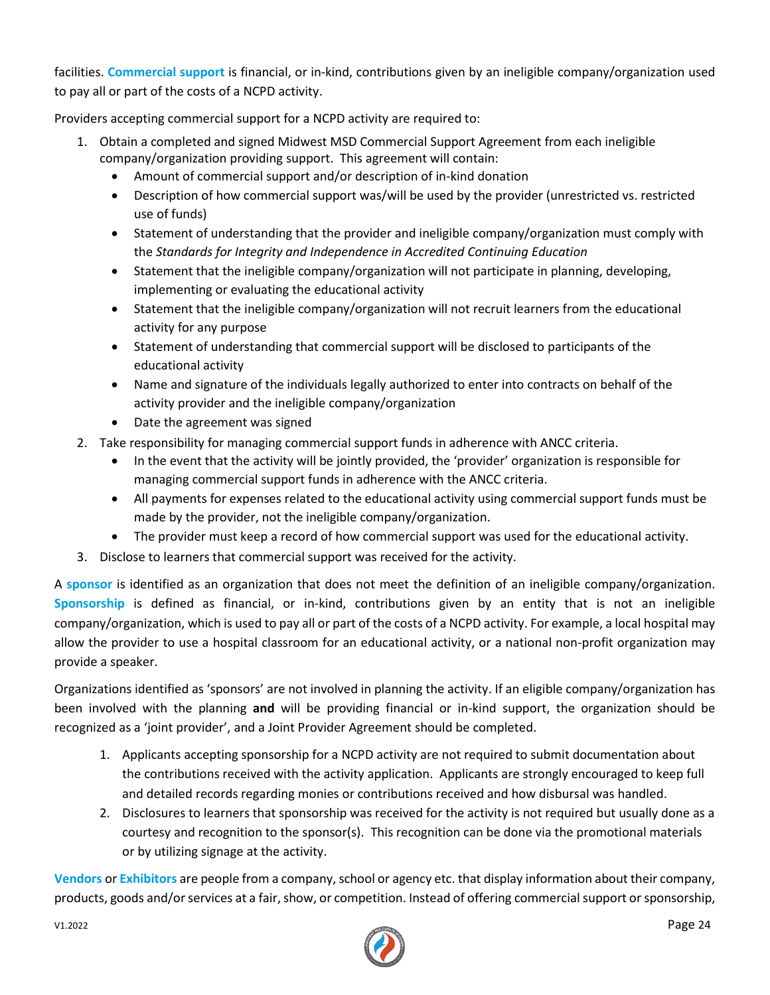facilities. **Commercial support** is financial, or in-kind, contributions given by an ineligible company/organization used to pay all or part of the costs of a NCPD activity.

Providers accepting commercial support for a NCPD activity are required to:

- 1. Obtain a completed and signed Midwest MSD Commercial Support Agreement from each ineligible company/organization providing support. This agreement will contain:
	- Amount of commercial support and/or description of in-kind donation
	- Description of how commercial support was/will be used by the provider (unrestricted vs. restricted use of funds)
	- Statement of understanding that the provider and ineligible company/organization must comply with the *Standards for Integrity and Independence in Accredited Continuing Education*
	- Statement that the ineligible company/organization will not participate in planning, developing, implementing or evaluating the educational activity
	- Statement that the ineligible company/organization will not recruit learners from the educational activity for any purpose
	- Statement of understanding that commercial support will be disclosed to participants of the educational activity
	- Name and signature of the individuals legally authorized to enter into contracts on behalf of the activity provider and the ineligible company/organization
	- Date the agreement was signed
- 2. Take responsibility for managing commercial support funds in adherence with ANCC criteria.
	- In the event that the activity will be jointly provided, the 'provider' organization is responsible for managing commercial support funds in adherence with the ANCC criteria.
	- All payments for expenses related to the educational activity using commercial support funds must be made by the provider, not the ineligible company/organization.
	- The provider must keep a record of how commercial support was used for the educational activity.
- 3. Disclose to learners that commercial support was received for the activity.

A **sponsor** is identified as an organization that does not meet the definition of an ineligible company/organization. **Sponsorship** is defined as financial, or in-kind, contributions given by an entity that is not an ineligible company/organization, which is used to pay all or part of the costs of a NCPD activity. For example, a local hospital may allow the provider to use a hospital classroom for an educational activity, or a national non-profit organization may provide a speaker.

Organizations identified as 'sponsors' are not involved in planning the activity. If an eligible company/organization has been involved with the planning **and** will be providing financial or in-kind support, the organization should be recognized as a 'joint provider', and a Joint Provider Agreement should be completed.

- 1. Applicants accepting sponsorship for a NCPD activity are not required to submit documentation about the contributions received with the activity application. Applicants are strongly encouraged to keep full and detailed records regarding monies or contributions received and how disbursal was handled.
- 2. Disclosures to learners that sponsorship was received for the activity is not required but usually done as a courtesy and recognition to the sponsor(s). This recognition can be done via the promotional materials or by utilizing signage at the activity.

**Vendors** or **Exhibitors** are people from a company, school or agency etc. that display information about their company, products, goods and/or services at a fair, show, or competition. Instead of offering commercial support or sponsorship,

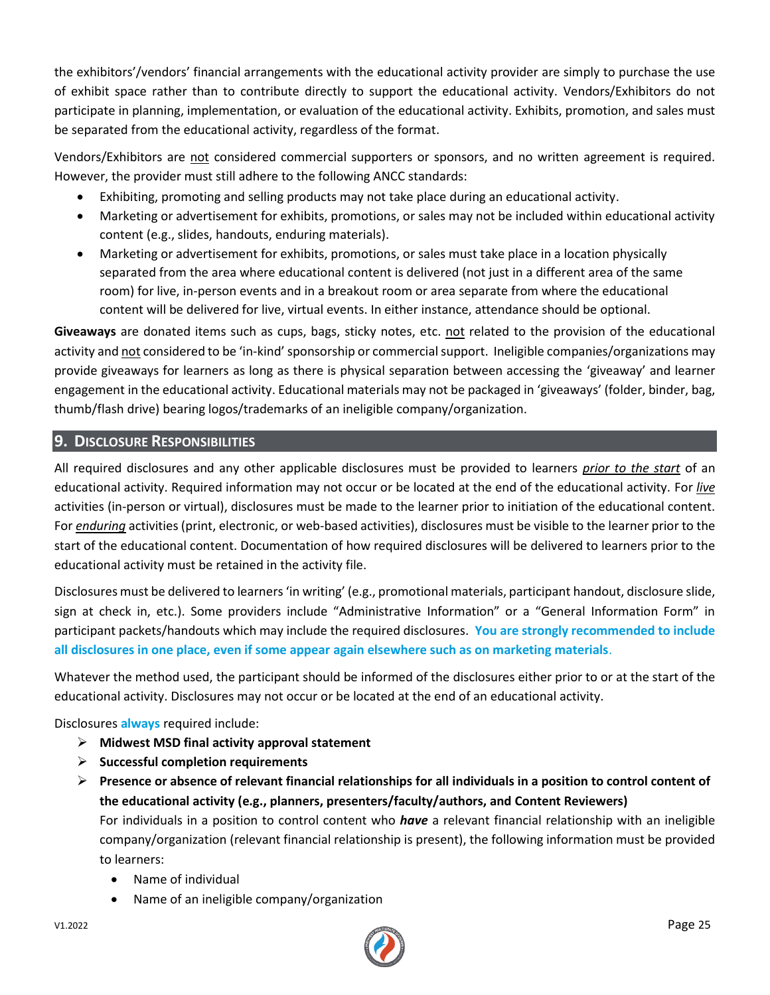the exhibitors'/vendors' financial arrangements with the educational activity provider are simply to purchase the use of exhibit space rather than to contribute directly to support the educational activity. Vendors/Exhibitors do not participate in planning, implementation, or evaluation of the educational activity. Exhibits, promotion, and sales must be separated from the educational activity, regardless of the format.

Vendors/Exhibitors are not considered commercial supporters or sponsors, and no written agreement is required. However, the provider must still adhere to the following ANCC standards:

- Exhibiting, promoting and selling products may not take place during an educational activity.
- Marketing or advertisement for exhibits, promotions, or sales may not be included within educational activity content (e.g., slides, handouts, enduring materials).
- Marketing or advertisement for exhibits, promotions, or sales must take place in a location physically separated from the area where educational content is delivered (not just in a different area of the same room) for live, in-person events and in a breakout room or area separate from where the educational content will be delivered for live, virtual events. In either instance, attendance should be optional.

**Giveaways** are donated items such as cups, bags, sticky notes, etc. not related to the provision of the educational activity and not considered to be 'in-kind' sponsorship or commercial support. Ineligible companies/organizations may provide giveaways for learners as long as there is physical separation between accessing the 'giveaway' and learner engagement in the educational activity. Educational materials may not be packaged in 'giveaways' (folder, binder, bag, thumb/flash drive) bearing logos/trademarks of an ineligible company/organization.

# **9. DISCLOSURE RESPONSIBILITIES**

All required disclosures and any other applicable disclosures must be provided to learners *prior to the start* of an educational activity. Required information may not occur or be located at the end of the educational activity. For *live* activities (in-person or virtual), disclosures must be made to the learner prior to initiation of the educational content. For *enduring* activities (print, electronic, or web-based activities), disclosures must be visible to the learner prior to the start of the educational content. Documentation of how required disclosures will be delivered to learners prior to the educational activity must be retained in the activity file.

Disclosures must be delivered to learners 'in writing' (e.g., promotional materials, participant handout, disclosure slide, sign at check in, etc.). Some providers include "Administrative Information" or a "General Information Form" in participant packets/handouts which may include the required disclosures. **You are strongly recommended to include all disclosures in one place, even if some appear again elsewhere such as on marketing materials**.

Whatever the method used, the participant should be informed of the disclosures either prior to or at the start of the educational activity. Disclosures may not occur or be located at the end of an educational activity.

Disclosures **always** required include:

- ➢ **Midwest MSD final activity approval statement**
- ➢ **Successful completion requirements**
- ➢ **Presence or absence of relevant financial relationships for all individuals in a position to control content of the educational activity (e.g., planners, presenters/faculty/authors, and Content Reviewers)** For individuals in a position to control content who *have* a relevant financial relationship with an ineligible company/organization (relevant financial relationship is present), the following information must be provided to learners:
	- Name of individual
	- Name of an ineligible company/organization

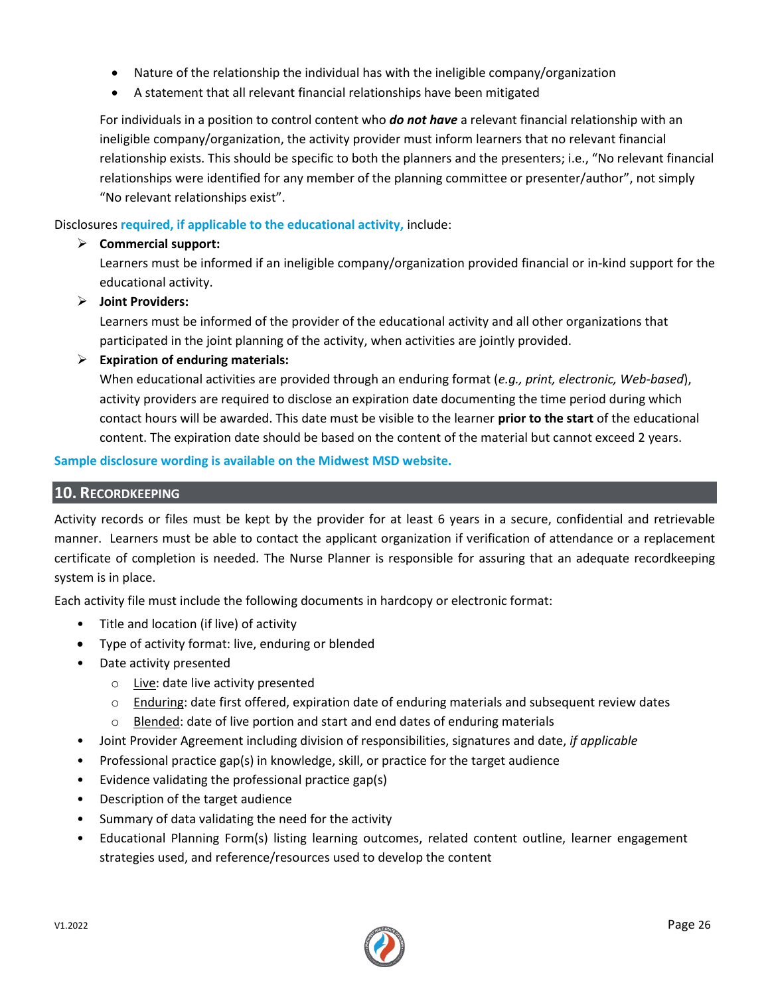- Nature of the relationship the individual has with the ineligible company/organization
- A statement that all relevant financial relationships have been mitigated

For individuals in a position to control content who *do not have* a relevant financial relationship with an ineligible company/organization, the activity provider must inform learners that no relevant financial relationship exists. This should be specific to both the planners and the presenters; i.e., "No relevant financial relationships were identified for any member of the planning committee or presenter/author", not simply "No relevant relationships exist".

Disclosures **required, if applicable to the educational activity,** include:

# ➢ **Commercial support:**

Learners must be informed if an ineligible company/organization provided financial or in-kind support for the educational activity.

# ➢ **Joint Providers:**

Learners must be informed of the provider of the educational activity and all other organizations that participated in the joint planning of the activity, when activities are jointly provided.

➢ **Expiration of enduring materials:**

When educational activities are provided through an enduring format (*e.g., print, electronic, Web-based*), activity providers are required to disclose an expiration date documenting the time period during which contact hours will be awarded. This date must be visible to the learner **prior to the start** of the educational content. The expiration date should be based on the content of the material but cannot exceed 2 years.

#### **Sample disclosure wording is available on the Midwest MSD website.**

# **10. RECORDKEEPING**

Activity records or files must be kept by the provider for at least 6 years in a secure, confidential and retrievable manner. Learners must be able to contact the applicant organization if verification of attendance or a replacement certificate of completion is needed. The Nurse Planner is responsible for assuring that an adequate recordkeeping system is in place.

Each activity file must include the following documents in hardcopy or electronic format:

- Title and location (if live) of activity
- Type of activity format: live, enduring or blended
- Date activity presented
	- o Live: date live activity presented
	- o Enduring: date first offered, expiration date of enduring materials and subsequent review dates
	- o Blended: date of live portion and start and end dates of enduring materials
- Joint Provider Agreement including division of responsibilities, signatures and date, *if applicable*
- Professional practice gap(s) in knowledge, skill, or practice for the target audience
- Evidence validating the professional practice gap(s)
- Description of the target audience
- Summary of data validating the need for the activity
- Educational Planning Form(s) listing learning outcomes, related content outline, learner engagement strategies used, and reference/resources used to develop the content

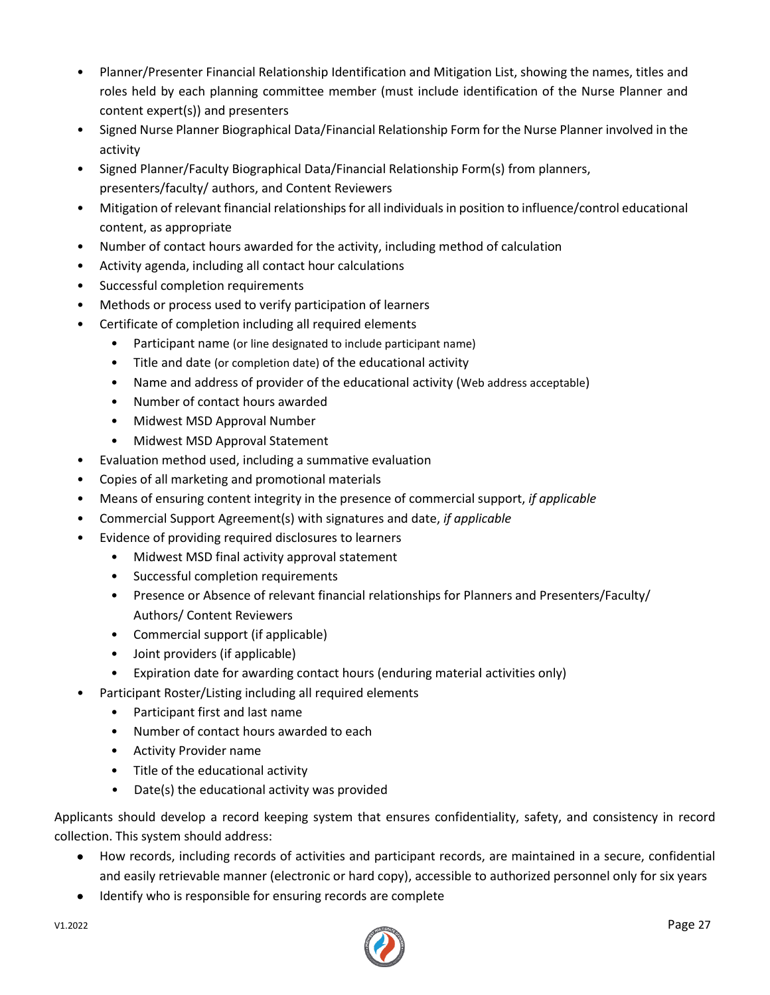- Planner/Presenter Financial Relationship Identification and Mitigation List, showing the names, titles and roles held by each planning committee member (must include identification of the Nurse Planner and content expert(s)) and presenters
- Signed Nurse Planner Biographical Data/Financial Relationship Form for the Nurse Planner involved in the activity
- Signed Planner/Faculty Biographical Data/Financial Relationship Form(s) from planners, presenters/faculty/ authors, and Content Reviewers
- Mitigation of relevant financial relationships for all individuals in position to influence/control educational content, as appropriate
- Number of contact hours awarded for the activity, including method of calculation
- Activity agenda, including all contact hour calculations
- Successful completion requirements
- Methods or process used to verify participation of learners
- Certificate of completion including all required elements
	- Participant name (or line designated to include participant name)
	- Title and date (or completion date) of the educational activity
	- Name and address of provider of the educational activity (Web address acceptable)
	- Number of contact hours awarded
	- Midwest MSD Approval Number
	- Midwest MSD Approval Statement
- Evaluation method used, including a summative evaluation
- Copies of all marketing and promotional materials
- Means of ensuring content integrity in the presence of commercial support, *if applicable*
- Commercial Support Agreement(s) with signatures and date, *if applicable*
- Evidence of providing required disclosures to learners
	- Midwest MSD final activity approval statement
	- Successful completion requirements
	- Presence or Absence of relevant financial relationships for Planners and Presenters/Faculty/ Authors/ Content Reviewers
	- Commercial support (if applicable)
	- Joint providers (if applicable)
	- Expiration date for awarding contact hours (enduring material activities only)
- Participant Roster/Listing including all required elements
	- Participant first and last name
	- Number of contact hours awarded to each
	- Activity Provider name
	- Title of the educational activity
	- Date(s) the educational activity was provided

Applicants should develop a record keeping system that ensures confidentiality, safety, and consistency in record collection. This system should address:

- How records, including records of activities and participant records, are maintained in a secure, confidential and easily retrievable manner (electronic or hard copy), accessible to authorized personnel only for six years
- Identify who is responsible for ensuring records are complete